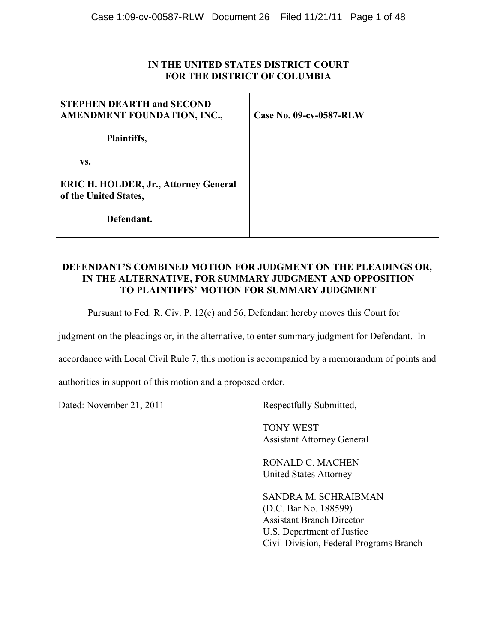# **IN THE UNITED STATES DISTRICT COURT FOR THE DISTRICT OF COLUMBIA**

| <b>STEPHEN DEARTH and SECOND</b><br>AMENDMENT FOUNDATION, INC.,       | Case No. 09-cv-0587-RLW |
|-----------------------------------------------------------------------|-------------------------|
| Plaintiffs,                                                           |                         |
| VS.                                                                   |                         |
| <b>ERIC H. HOLDER, Jr., Attorney General</b><br>of the United States, |                         |
| Defendant.                                                            |                         |

### **DEFENDANT'S COMBINED MOTION FOR JUDGMENT ON THE PLEADINGS OR, IN THE ALTERNATIVE, FOR SUMMARY JUDGMENT AND OPPOSITION TO PLAINTIFFS' MOTION FOR SUMMARY JUDGMENT**

Pursuant to Fed. R. Civ. P. 12(c) and 56, Defendant hereby moves this Court for

judgment on the pleadings or, in the alternative, to enter summary judgment for Defendant. In

accordance with Local Civil Rule 7, this motion is accompanied by a memorandum of points and

authorities in support of this motion and a proposed order.

Dated: November 21, 2011 Respectfully Submitted,

 TONY WEST Assistant Attorney General

RONALD C. MACHEN United States Attorney

SANDRA M. SCHRAIBMAN (D.C. Bar No. 188599) Assistant Branch Director U.S. Department of Justice Civil Division, Federal Programs Branch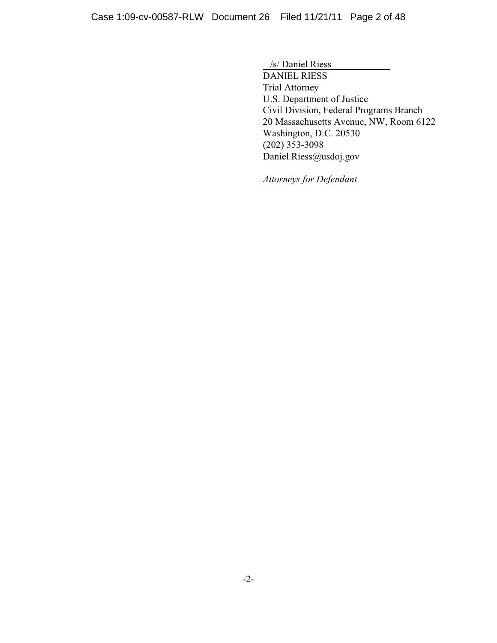/s/ Daniel Riess DANIEL RIESS Trial Attorney U.S. Department of Justice Civil Division, Federal Programs Branch 20 Massachusetts Avenue, NW, Room 6122 Washington, D.C. 20530 (202) 353-3098 Daniel.Riess@usdoj.gov

*Attorneys for Defendant*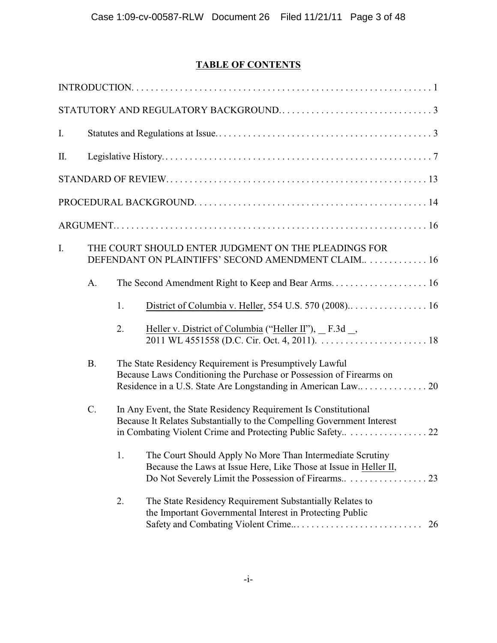# **TABLE OF CONTENTS**

| $I_{\cdot}$ |                                                                                                            |                                                                                                                                |                                                                                                                                                                                          |  |  |
|-------------|------------------------------------------------------------------------------------------------------------|--------------------------------------------------------------------------------------------------------------------------------|------------------------------------------------------------------------------------------------------------------------------------------------------------------------------------------|--|--|
| Π.          |                                                                                                            |                                                                                                                                |                                                                                                                                                                                          |  |  |
|             |                                                                                                            |                                                                                                                                |                                                                                                                                                                                          |  |  |
|             |                                                                                                            |                                                                                                                                |                                                                                                                                                                                          |  |  |
|             |                                                                                                            |                                                                                                                                |                                                                                                                                                                                          |  |  |
| I.          | THE COURT SHOULD ENTER JUDGMENT ON THE PLEADINGS FOR<br>DEFENDANT ON PLAINTIFFS' SECOND AMENDMENT CLAIM 16 |                                                                                                                                |                                                                                                                                                                                          |  |  |
|             | A.                                                                                                         |                                                                                                                                |                                                                                                                                                                                          |  |  |
|             |                                                                                                            | 1.                                                                                                                             |                                                                                                                                                                                          |  |  |
|             |                                                                                                            | 2.                                                                                                                             | Heller v. District of Columbia ("Heller II"), _ F.3d _,<br>2011 WL 4551558 (D.C. Cir. Oct. 4, $\overline{2011}$ ).                                                                       |  |  |
|             | <b>B.</b>                                                                                                  | The State Residency Requirement is Presumptively Lawful<br>Because Laws Conditioning the Purchase or Possession of Firearms on |                                                                                                                                                                                          |  |  |
|             | C.<br>In Any Event, the State Residency Requirement Is Constitutional                                      |                                                                                                                                | Because It Relates Substantially to the Compelling Government Interest                                                                                                                   |  |  |
|             |                                                                                                            | 1.                                                                                                                             | The Court Should Apply No More Than Intermediate Scrutiny<br>Because the Laws at Issue Here, Like Those at Issue in Heller II,<br>Do Not Severely Limit the Possession of Firearms<br>23 |  |  |
|             |                                                                                                            | 2.                                                                                                                             | The State Residency Requirement Substantially Relates to<br>the Important Governmental Interest in Protecting Public<br>26                                                               |  |  |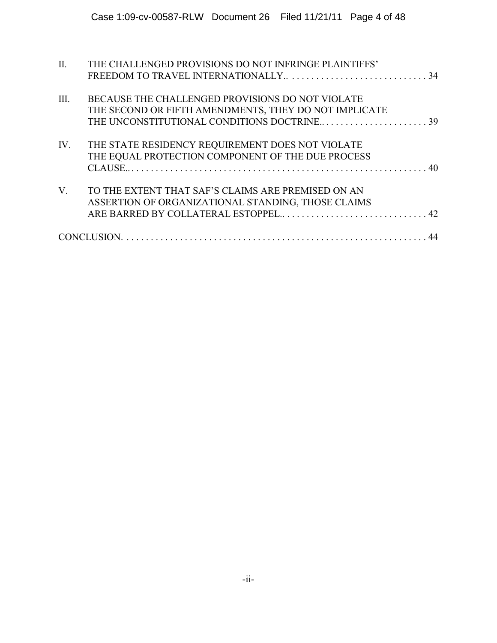| THE CHALLENGED PROVISIONS DO NOT INFRINGE PLAINTIFFS' |                                            |
|-------------------------------------------------------|--------------------------------------------|
|                                                       |                                            |
|                                                       |                                            |
| BECAUSE THE CHALLENGED PROVISIONS DO NOT VIOLATE      |                                            |
| THE SECOND OR FIFTH AMENDMENTS, THEY DO NOT IMPLICATE |                                            |
|                                                       |                                            |
| THE STATE RESIDENCY REQUIREMENT DOES NOT VIOLATE      |                                            |
| THE EQUAL PROTECTION COMPONENT OF THE DUE PROCESS     |                                            |
|                                                       |                                            |
| TO THE EXTENT THAT SAF'S CLAIMS ARE PREMISED ON AN    |                                            |
| ASSERTION OF ORGANIZATIONAL STANDING, THOSE CLAIMS    |                                            |
|                                                       |                                            |
|                                                       |                                            |
|                                                       | THE UNCONSTITUTIONAL CONDITIONS DOCTRINE39 |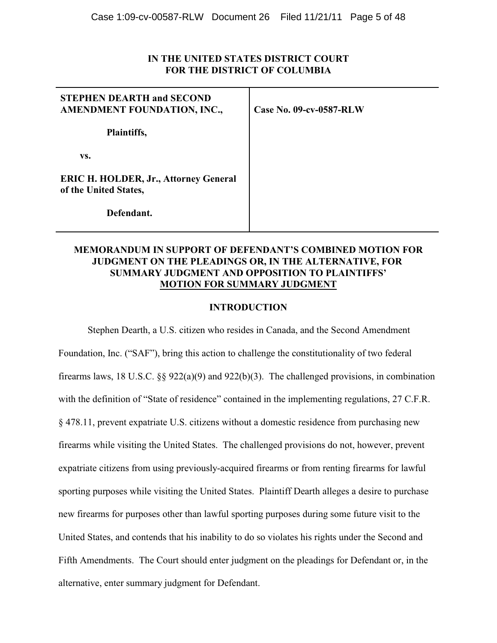# **IN THE UNITED STATES DISTRICT COURT FOR THE DISTRICT OF COLUMBIA**

| <b>STEPHEN DEARTH and SECOND</b><br>AMENDMENT FOUNDATION, INC.,       | Case No. 09-cv-0587-RLW |  |
|-----------------------------------------------------------------------|-------------------------|--|
| Plaintiffs,                                                           |                         |  |
| VS.                                                                   |                         |  |
| <b>ERIC H. HOLDER, Jr., Attorney General</b><br>of the United States, |                         |  |
| Defendant.                                                            |                         |  |

# **MEMORANDUM IN SUPPORT OF DEFENDANT'S COMBINED MOTION FOR JUDGMENT ON THE PLEADINGS OR, IN THE ALTERNATIVE, FOR SUMMARY JUDGMENT AND OPPOSITION TO PLAINTIFFS' MOTION FOR SUMMARY JUDGMENT**

### **INTRODUCTION**

Stephen Dearth, a U.S. citizen who resides in Canada, and the Second Amendment Foundation, Inc. ("SAF"), bring this action to challenge the constitutionality of two federal firearms laws, 18 U.S.C. §§ 922(a)(9) and 922(b)(3). The challenged provisions, in combination with the definition of "State of residence" contained in the implementing regulations, 27 C.F.R. § 478.11, prevent expatriate U.S. citizens without a domestic residence from purchasing new firearms while visiting the United States. The challenged provisions do not, however, prevent expatriate citizens from using previously-acquired firearms or from renting firearms for lawful sporting purposes while visiting the United States. Plaintiff Dearth alleges a desire to purchase new firearms for purposes other than lawful sporting purposes during some future visit to the United States, and contends that his inability to do so violates his rights under the Second and Fifth Amendments. The Court should enter judgment on the pleadings for Defendant or, in the alternative, enter summary judgment for Defendant.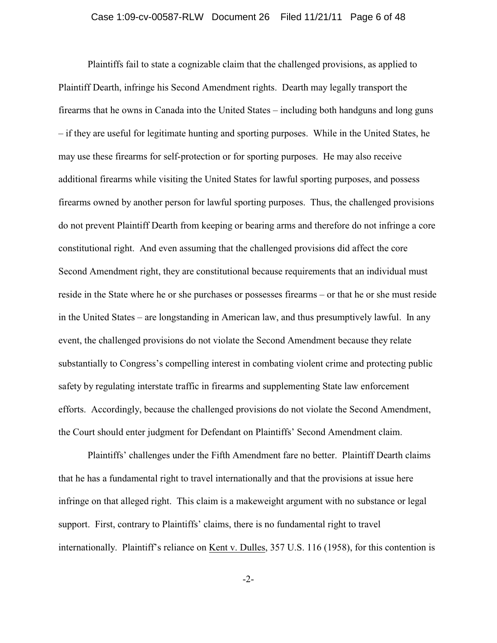#### Case 1:09-cv-00587-RLW Document 26 Filed 11/21/11 Page 6 of 48

Plaintiffs fail to state a cognizable claim that the challenged provisions, as applied to Plaintiff Dearth, infringe his Second Amendment rights. Dearth may legally transport the firearms that he owns in Canada into the United States – including both handguns and long guns – if they are useful for legitimate hunting and sporting purposes. While in the United States, he may use these firearms for self-protection or for sporting purposes. He may also receive additional firearms while visiting the United States for lawful sporting purposes, and possess firearms owned by another person for lawful sporting purposes. Thus, the challenged provisions do not prevent Plaintiff Dearth from keeping or bearing arms and therefore do not infringe a core constitutional right. And even assuming that the challenged provisions did affect the core Second Amendment right, they are constitutional because requirements that an individual must reside in the State where he or she purchases or possesses firearms – or that he or she must reside in the United States – are longstanding in American law, and thus presumptively lawful. In any event, the challenged provisions do not violate the Second Amendment because they relate substantially to Congress's compelling interest in combating violent crime and protecting public safety by regulating interstate traffic in firearms and supplementing State law enforcement efforts. Accordingly, because the challenged provisions do not violate the Second Amendment, the Court should enter judgment for Defendant on Plaintiffs' Second Amendment claim.

Plaintiffs' challenges under the Fifth Amendment fare no better. Plaintiff Dearth claims that he has a fundamental right to travel internationally and that the provisions at issue here infringe on that alleged right. This claim is a makeweight argument with no substance or legal support. First, contrary to Plaintiffs' claims, there is no fundamental right to travel internationally. Plaintiff's reliance on Kent v. Dulles, 357 U.S. 116 (1958), for this contention is

-2-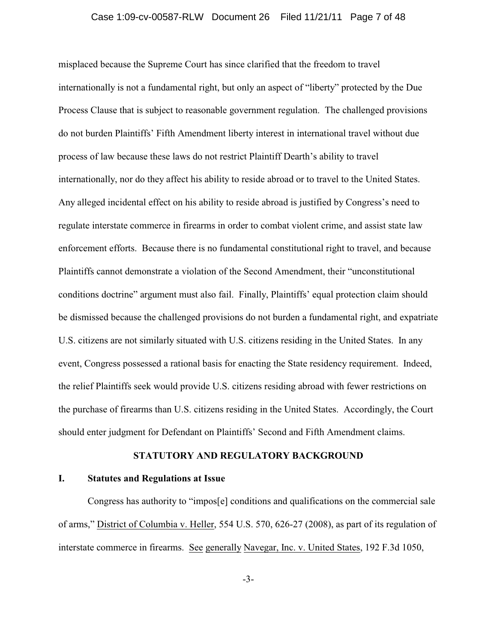#### Case 1:09-cv-00587-RLW Document 26 Filed 11/21/11 Page 7 of 48

misplaced because the Supreme Court has since clarified that the freedom to travel internationally is not a fundamental right, but only an aspect of "liberty" protected by the Due Process Clause that is subject to reasonable government regulation. The challenged provisions do not burden Plaintiffs' Fifth Amendment liberty interest in international travel without due process of law because these laws do not restrict Plaintiff Dearth's ability to travel internationally, nor do they affect his ability to reside abroad or to travel to the United States. Any alleged incidental effect on his ability to reside abroad is justified by Congress's need to regulate interstate commerce in firearms in order to combat violent crime, and assist state law enforcement efforts. Because there is no fundamental constitutional right to travel, and because Plaintiffs cannot demonstrate a violation of the Second Amendment, their "unconstitutional conditions doctrine" argument must also fail. Finally, Plaintiffs' equal protection claim should be dismissed because the challenged provisions do not burden a fundamental right, and expatriate U.S. citizens are not similarly situated with U.S. citizens residing in the United States. In any event, Congress possessed a rational basis for enacting the State residency requirement. Indeed, the relief Plaintiffs seek would provide U.S. citizens residing abroad with fewer restrictions on the purchase of firearms than U.S. citizens residing in the United States. Accordingly, the Court should enter judgment for Defendant on Plaintiffs' Second and Fifth Amendment claims.

## **STATUTORY AND REGULATORY BACKGROUND**

### **I. Statutes and Regulations at Issue**

Congress has authority to "impos[e] conditions and qualifications on the commercial sale of arms," District of Columbia v. Heller, 554 U.S. 570, 626-27 (2008), as part of its regulation of interstate commerce in firearms. See generally Navegar, Inc. v. United States, 192 F.3d 1050,

-3-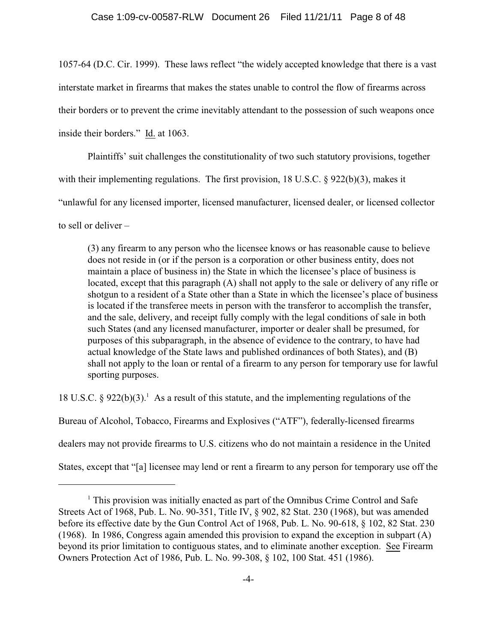1057-64 (D.C. Cir. 1999). These laws reflect "the widely accepted knowledge that there is a vast interstate market in firearms that makes the states unable to control the flow of firearms across their borders or to prevent the crime inevitably attendant to the possession of such weapons once inside their borders." Id. at 1063.

Plaintiffs' suit challenges the constitutionality of two such statutory provisions, together with their implementing regulations. The first provision, 18 U.S.C. § 922(b)(3), makes it "unlawful for any licensed importer, licensed manufacturer, licensed dealer, or licensed collector to sell or deliver –

(3) any firearm to any person who the licensee knows or has reasonable cause to believe does not reside in (or if the person is a corporation or other business entity, does not maintain a place of business in) the State in which the licensee's place of business is located, except that this paragraph (A) shall not apply to the sale or delivery of any rifle or shotgun to a resident of a State other than a State in which the licensee's place of business is located if the transferee meets in person with the transferor to accomplish the transfer, and the sale, delivery, and receipt fully comply with the legal conditions of sale in both such States (and any licensed manufacturer, importer or dealer shall be presumed, for purposes of this subparagraph, in the absence of evidence to the contrary, to have had actual knowledge of the State laws and published ordinances of both States), and (B) shall not apply to the loan or rental of a firearm to any person for temporary use for lawful sporting purposes.

18 U.S.C. § 922(b)(3).<sup>1</sup> As a result of this statute, and the implementing regulations of the Bureau of Alcohol, Tobacco, Firearms and Explosives ("ATF"), federally-licensed firearms dealers may not provide firearms to U.S. citizens who do not maintain a residence in the United States, except that "[a] licensee may lend or rent a firearm to any person for temporary use off the

 $<sup>1</sup>$  This provision was initially enacted as part of the Omnibus Crime Control and Safe</sup> Streets Act of 1968, Pub. L. No. 90-351, Title IV, § 902, 82 Stat. 230 (1968), but was amended before its effective date by the Gun Control Act of 1968, Pub. L. No. 90-618, § 102, 82 Stat. 230 (1968). In 1986, Congress again amended this provision to expand the exception in subpart (A) beyond its prior limitation to contiguous states, and to eliminate another exception. See Firearm Owners Protection Act of 1986, Pub. L. No. 99-308, § 102, 100 Stat. 451 (1986).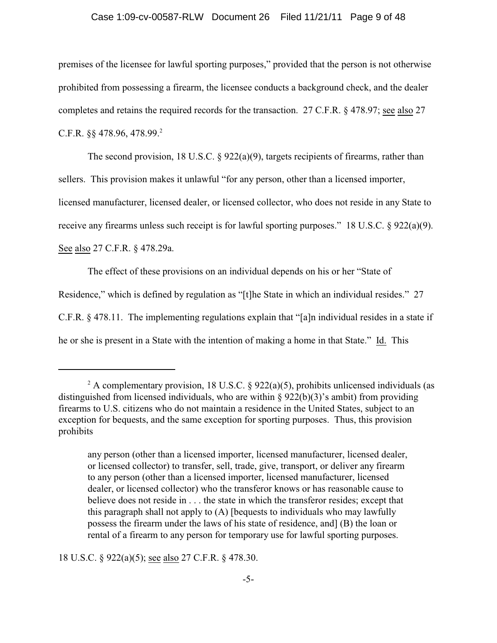#### Case 1:09-cv-00587-RLW Document 26 Filed 11/21/11 Page 9 of 48

premises of the licensee for lawful sporting purposes," provided that the person is not otherwise prohibited from possessing a firearm, the licensee conducts a background check, and the dealer completes and retains the required records for the transaction. 27 C.F.R. § 478.97; see also 27 C.F.R.  $\S$  478.96, 478.99.<sup>2</sup>

The second provision, 18 U.S.C. § 922(a)(9), targets recipients of firearms, rather than sellers. This provision makes it unlawful "for any person, other than a licensed importer, licensed manufacturer, licensed dealer, or licensed collector, who does not reside in any State to receive any firearms unless such receipt is for lawful sporting purposes." 18 U.S.C. § 922(a)(9). See also 27 C.F.R. § 478.29a.

The effect of these provisions on an individual depends on his or her "State of Residence," which is defined by regulation as "[t]he State in which an individual resides." 27 C.F.R. § 478.11. The implementing regulations explain that "[a]n individual resides in a state if he or she is present in a State with the intention of making a home in that State." Id. This

18 U.S.C. § 922(a)(5); see also 27 C.F.R. § 478.30.

<sup>&</sup>lt;sup>2</sup> A complementary provision, 18 U.S.C. § 922(a)(5), prohibits unlicensed individuals (as distinguished from licensed individuals, who are within  $\S 922(b)(3)$ 's ambit) from providing firearms to U.S. citizens who do not maintain a residence in the United States, subject to an exception for bequests, and the same exception for sporting purposes. Thus, this provision prohibits

any person (other than a licensed importer, licensed manufacturer, licensed dealer, or licensed collector) to transfer, sell, trade, give, transport, or deliver any firearm to any person (other than a licensed importer, licensed manufacturer, licensed dealer, or licensed collector) who the transferor knows or has reasonable cause to believe does not reside in . . . the state in which the transferor resides; except that this paragraph shall not apply to (A) [bequests to individuals who may lawfully possess the firearm under the laws of his state of residence, and] (B) the loan or rental of a firearm to any person for temporary use for lawful sporting purposes.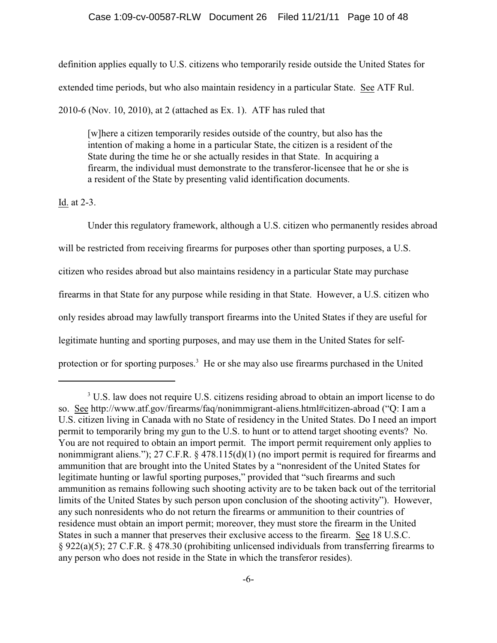definition applies equally to U.S. citizens who temporarily reside outside the United States for extended time periods, but who also maintain residency in a particular State. See ATF Rul. 2010-6 (Nov. 10, 2010), at 2 (attached as Ex. 1). ATF has ruled that

[w]here a citizen temporarily resides outside of the country, but also has the intention of making a home in a particular State, the citizen is a resident of the State during the time he or she actually resides in that State. In acquiring a firearm, the individual must demonstrate to the transferor-licensee that he or she is a resident of the State by presenting valid identification documents.

Id. at 2-3.

Under this regulatory framework, although a U.S. citizen who permanently resides abroad will be restricted from receiving firearms for purposes other than sporting purposes, a U.S. citizen who resides abroad but also maintains residency in a particular State may purchase firearms in that State for any purpose while residing in that State. However, a U.S. citizen who only resides abroad may lawfully transport firearms into the United States if they are useful for legitimate hunting and sporting purposes, and may use them in the United States for selfprotection or for sporting purposes.<sup>3</sup> He or she may also use firearms purchased in the United

<sup>&</sup>lt;sup>3</sup> U.S. law does not require U.S. citizens residing abroad to obtain an import license to do so. See http://www.atf.gov/firearms/faq/nonimmigrant-aliens.html#citizen-abroad ("Q: I am a U.S. citizen living in Canada with no State of residency in the United States. Do I need an import permit to temporarily bring my gun to the U.S. to hunt or to attend target shooting events? No. You are not required to obtain an import permit. The import permit requirement only applies to nonimmigrant aliens."); 27 C.F.R. § 478.115(d)(1) (no import permit is required for firearms and ammunition that are brought into the United States by a "nonresident of the United States for legitimate hunting or lawful sporting purposes," provided that "such firearms and such ammunition as remains following such shooting activity are to be taken back out of the territorial limits of the United States by such person upon conclusion of the shooting activity"). However, any such nonresidents who do not return the firearms or ammunition to their countries of residence must obtain an import permit; moreover, they must store the firearm in the United States in such a manner that preserves their exclusive access to the firearm. See 18 U.S.C. § 922(a)(5); 27 C.F.R. § 478.30 (prohibiting unlicensed individuals from transferring firearms to any person who does not reside in the State in which the transferor resides).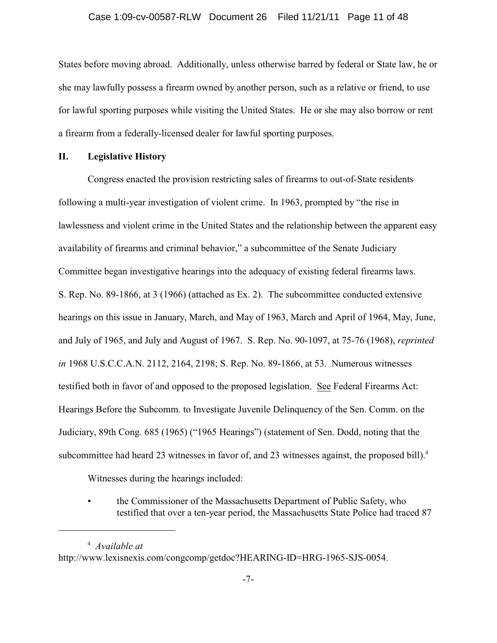States before moving abroad. Additionally, unless otherwise barred by federal or State law, he or she may lawfully possess a firearm owned by another person, such as a relative or friend, to use for lawful sporting purposes while visiting the United States. He or she may also borrow or rent a firearm from a federally-licensed dealer for lawful sporting purposes.

#### **II. Legislative History**

Congress enacted the provision restricting sales of firearms to out-of-State residents following a multi-year investigation of violent crime. In 1963, prompted by "the rise in lawlessness and violent crime in the United States and the relationship between the apparent easy availability of firearms and criminal behavior," a subcommittee of the Senate Judiciary Committee began investigative hearings into the adequacy of existing federal firearms laws. S. Rep. No. 89-1866, at 3 (1966) (attached as Ex. 2). The subcommittee conducted extensive hearings on this issue in January, March, and May of 1963, March and April of 1964, May, June, and July of 1965, and July and August of 1967. S. Rep. No. 90-1097, at 75-76 (1968), *reprinted in* 1968 U.S.C.C.A.N. 2112, 2164, 2198; S. Rep. No. 89-1866, at 53. Numerous witnesses testified both in favor of and opposed to the proposed legislation. See Federal Firearms Act: Hearings Before the Subcomm. to Investigate Juvenile Delinquency of the Sen. Comm. on the Judiciary, 89th Cong. 685 (1965) ("1965 Hearings") (statement of Sen. Dodd, noting that the subcommittee had heard 23 witnesses in favor of, and 23 witnesses against, the proposed bill).<sup>4</sup>

Witnesses during the hearings included:

• the Commissioner of the Massachusetts Department of Public Safety, who testified that over a ten-year period, the Massachusetts State Police had traced 87

<sup>&</sup>lt;sup>4</sup> Available at http://www.lexisnexis.com/congcomp/getdoc?HEARING-ID=HRG-1965-SJS-0054.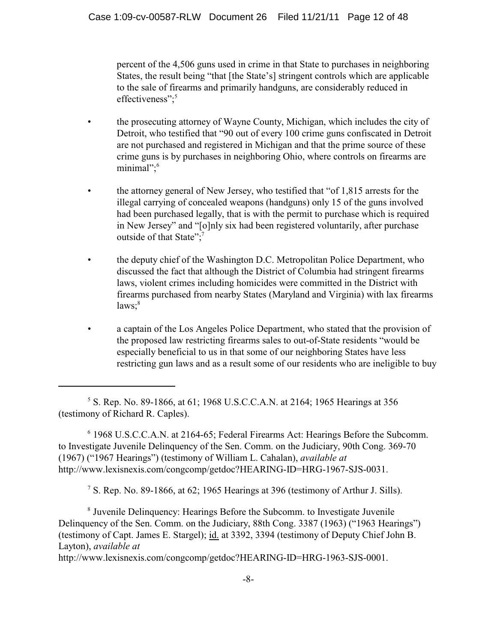percent of the 4,506 guns used in crime in that State to purchases in neighboring States, the result being "that [the State's] stringent controls which are applicable to the sale of firearms and primarily handguns, are considerably reduced in effectiveness";<sup>5</sup>

- the prosecuting attorney of Wayne County, Michigan, which includes the city of Detroit, who testified that "90 out of every 100 crime guns confiscated in Detroit are not purchased and registered in Michigan and that the prime source of these crime guns is by purchases in neighboring Ohio, where controls on firearms are minimal";<sup>6</sup>
- the attorney general of New Jersey, who testified that "of 1,815 arrests for the illegal carrying of concealed weapons (handguns) only 15 of the guns involved had been purchased legally, that is with the permit to purchase which is required in New Jersey" and "[o]nly six had been registered voluntarily, after purchase outside of that State";<sup>7</sup>
- the deputy chief of the Washington D.C. Metropolitan Police Department, who discussed the fact that although the District of Columbia had stringent firearms laws, violent crimes including homicides were committed in the District with firearms purchased from nearby States (Maryland and Virginia) with lax firearms  $laws; <sup>8</sup>$
- a captain of the Los Angeles Police Department, who stated that the provision of the proposed law restricting firearms sales to out-of-State residents "would be especially beneficial to us in that some of our neighboring States have less restricting gun laws and as a result some of our residents who are ineligible to buy

 1968 U.S.C.C.A.N. at 2164-65; Federal Firearms Act: Hearings Before the Subcomm. <sup>6</sup> to Investigate Juvenile Delinquency of the Sen. Comm. on the Judiciary, 90th Cong. 369-70 (1967) ("1967 Hearings") (testimony of William L. Cahalan), *available at* http://www.lexisnexis.com/congcomp/getdoc?HEARING-ID=HRG-1967-SJS-0031.

<sup>7</sup> S. Rep. No. 89-1866, at 62; 1965 Hearings at 396 (testimony of Arthur J. Sills).

<sup>8</sup> Juvenile Delinquency: Hearings Before the Subcomm. to Investigate Juvenile Delinquency of the Sen. Comm. on the Judiciary, 88th Cong. 3387 (1963) ("1963 Hearings") (testimony of Capt. James E. Stargel); id. at 3392, 3394 (testimony of Deputy Chief John B. Layton), *available at*

http://www.lexisnexis.com/congcomp/getdoc?HEARING-ID=HRG-1963-SJS-0001.

<sup>&</sup>lt;sup>5</sup> S. Rep. No. 89-1866, at 61; 1968 U.S.C.C.A.N. at 2164; 1965 Hearings at 356 (testimony of Richard R. Caples).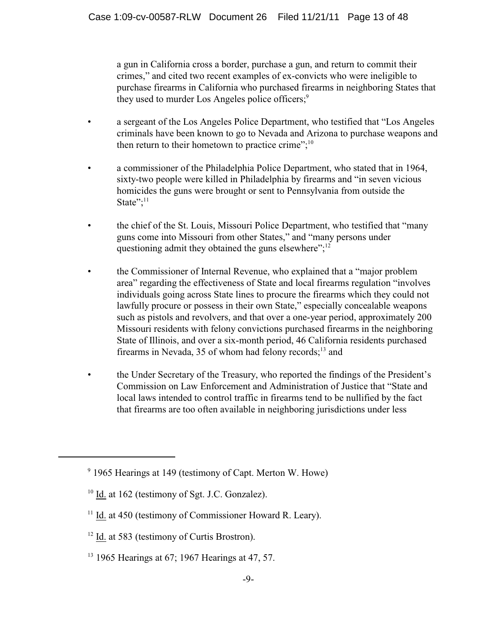a gun in California cross a border, purchase a gun, and return to commit their crimes," and cited two recent examples of ex-convicts who were ineligible to purchase firearms in California who purchased firearms in neighboring States that they used to murder Los Angeles police officers;<sup>9</sup>

- a sergeant of the Los Angeles Police Department, who testified that "Los Angeles criminals have been known to go to Nevada and Arizona to purchase weapons and then return to their hometown to practice crime"; $^{10}$
- a commissioner of the Philadelphia Police Department, who stated that in 1964, sixty-two people were killed in Philadelphia by firearms and "in seven vicious homicides the guns were brought or sent to Pennsylvania from outside the State"; $^{11}$
- the chief of the St. Louis, Missouri Police Department, who testified that "many guns come into Missouri from other States," and "many persons under questioning admit they obtained the guns elsewhere";<sup>12</sup>
- the Commissioner of Internal Revenue, who explained that a "major problem" area" regarding the effectiveness of State and local firearms regulation "involves individuals going across State lines to procure the firearms which they could not lawfully procure or possess in their own State," especially concealable weapons such as pistols and revolvers, and that over a one-year period, approximately 200 Missouri residents with felony convictions purchased firearms in the neighboring State of Illinois, and over a six-month period, 46 California residents purchased firearms in Nevada, 35 of whom had felony records; $^{13}$  and
- the Under Secretary of the Treasury, who reported the findings of the President's Commission on Law Enforcement and Administration of Justice that "State and local laws intended to control traffic in firearms tend to be nullified by the fact that firearms are too often available in neighboring jurisdictions under less

 $9$  1965 Hearings at 149 (testimony of Capt. Merton W. Howe)

 $10$  Id. at 162 (testimony of Sgt. J.C. Gonzalez).

 $11$  Id. at 450 (testimony of Commissioner Howard R. Leary).

 $12$  Id. at 583 (testimony of Curtis Brostron).

 $13$  1965 Hearings at 67; 1967 Hearings at 47, 57.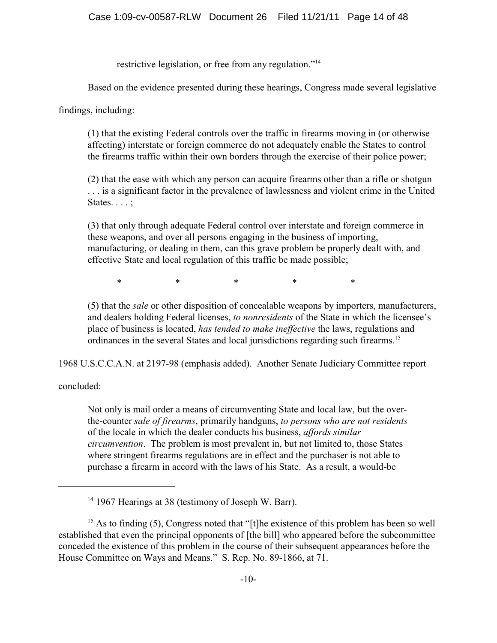restrictive legislation, or free from any regulation."<sup>14</sup>

Based on the evidence presented during these hearings, Congress made several legislative

findings, including:

(1) that the existing Federal controls over the traffic in firearms moving in (or otherwise affecting) interstate or foreign commerce do not adequately enable the States to control the firearms traffic within their own borders through the exercise of their police power;

(2) that the ease with which any person can acquire firearms other than a rifle or shotgun . . . is a significant factor in the prevalence of lawlessness and violent crime in the United States. . . . ;

(3) that only through adequate Federal control over interstate and foreign commerce in these weapons, and over all persons engaging in the business of importing, manufacturing, or dealing in them, can this grave problem be properly dealt with, and effective State and local regulation of this traffic be made possible;

\* \* \* \* \* \* \*

(5) that the *sale* or other disposition of concealable weapons by importers, manufacturers, and dealers holding Federal licenses, *to nonresidents* of the State in which the licensee's place of business is located, *has tended to make ineffective* the laws, regulations and ordinances in the several States and local jurisdictions regarding such firearms.<sup>15</sup>

1968 U.S.C.C.A.N. at 2197-98 (emphasis added). Another Senate Judiciary Committee report

concluded:

Not only is mail order a means of circumventing State and local law, but the overthe-counter *sale of firearms*, primarily handguns, *to persons who are not residents* of the locale in which the dealer conducts his business, *affords similar circumvention*. The problem is most prevalent in, but not limited to, those States where stringent firearms regulations are in effect and the purchaser is not able to purchase a firearm in accord with the laws of his State. As a result, a would-be

<sup>&</sup>lt;sup>14</sup> 1967 Hearings at 38 (testimony of Joseph W. Barr).

<sup>&</sup>lt;sup>15</sup> As to finding (5), Congress noted that "[t]he existence of this problem has been so well established that even the principal opponents of [the bill] who appeared before the subcommittee conceded the existence of this problem in the course of their subsequent appearances before the House Committee on Ways and Means." S. Rep. No. 89-1866, at 71.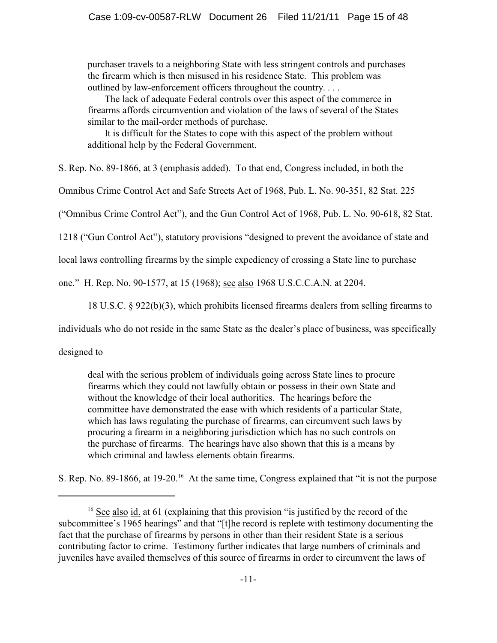purchaser travels to a neighboring State with less stringent controls and purchases the firearm which is then misused in his residence State. This problem was outlined by law-enforcement officers throughout the country. . . .

 The lack of adequate Federal controls over this aspect of the commerce in firearms affords circumvention and violation of the laws of several of the States similar to the mail-order methods of purchase.

 It is difficult for the States to cope with this aspect of the problem without additional help by the Federal Government.

S. Rep. No. 89-1866, at 3 (emphasis added). To that end, Congress included, in both the

Omnibus Crime Control Act and Safe Streets Act of 1968, Pub. L. No. 90-351, 82 Stat. 225

("Omnibus Crime Control Act"), and the Gun Control Act of 1968, Pub. L. No. 90-618, 82 Stat.

1218 ("Gun Control Act"), statutory provisions "designed to prevent the avoidance of state and

local laws controlling firearms by the simple expediency of crossing a State line to purchase

one." H. Rep. No. 90-1577, at 15 (1968); see also 1968 U.S.C.C.A.N. at 2204.

18 U.S.C. § 922(b)(3), which prohibits licensed firearms dealers from selling firearms to

individuals who do not reside in the same State as the dealer's place of business, was specifically

designed to

deal with the serious problem of individuals going across State lines to procure firearms which they could not lawfully obtain or possess in their own State and without the knowledge of their local authorities. The hearings before the committee have demonstrated the ease with which residents of a particular State, which has laws regulating the purchase of firearms, can circumvent such laws by procuring a firearm in a neighboring jurisdiction which has no such controls on the purchase of firearms. The hearings have also shown that this is a means by which criminal and lawless elements obtain firearms.

S. Rep. No. 89-1866, at  $19{\text -}20$ <sup>16</sup> At the same time, Congress explained that "it is not the purpose

 $16$  See also id. at 61 (explaining that this provision "is justified by the record of the subcommittee's 1965 hearings" and that "[t]he record is replete with testimony documenting the fact that the purchase of firearms by persons in other than their resident State is a serious contributing factor to crime. Testimony further indicates that large numbers of criminals and juveniles have availed themselves of this source of firearms in order to circumvent the laws of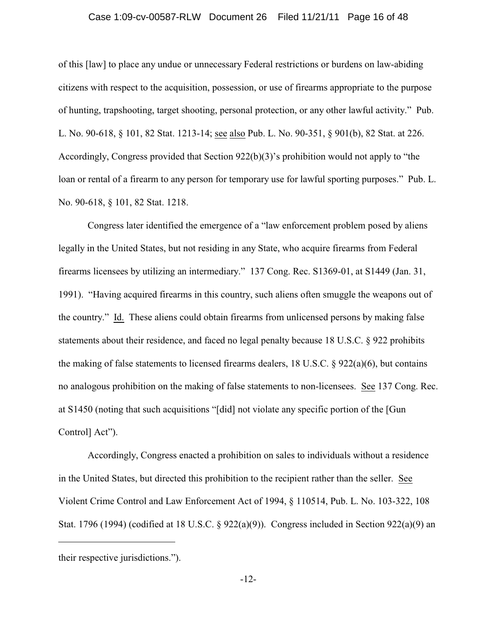#### Case 1:09-cv-00587-RLW Document 26 Filed 11/21/11 Page 16 of 48

of this [law] to place any undue or unnecessary Federal restrictions or burdens on law-abiding citizens with respect to the acquisition, possession, or use of firearms appropriate to the purpose of hunting, trapshooting, target shooting, personal protection, or any other lawful activity." Pub. L. No. 90-618, § 101, 82 Stat. 1213-14; see also Pub. L. No. 90-351, § 901(b), 82 Stat. at 226. Accordingly, Congress provided that Section 922(b)(3)'s prohibition would not apply to "the loan or rental of a firearm to any person for temporary use for lawful sporting purposes." Pub. L. No. 90-618, § 101, 82 Stat. 1218.

Congress later identified the emergence of a "law enforcement problem posed by aliens legally in the United States, but not residing in any State, who acquire firearms from Federal firearms licensees by utilizing an intermediary." 137 Cong. Rec. S1369-01, at S1449 (Jan. 31, 1991). "Having acquired firearms in this country, such aliens often smuggle the weapons out of the country." Id. These aliens could obtain firearms from unlicensed persons by making false statements about their residence, and faced no legal penalty because 18 U.S.C. § 922 prohibits the making of false statements to licensed firearms dealers, 18 U.S.C. § 922(a)(6), but contains no analogous prohibition on the making of false statements to non-licensees. See 137 Cong. Rec. at S1450 (noting that such acquisitions "[did] not violate any specific portion of the [Gun Control] Act").

Accordingly, Congress enacted a prohibition on sales to individuals without a residence in the United States, but directed this prohibition to the recipient rather than the seller. See Violent Crime Control and Law Enforcement Act of 1994, § 110514, Pub. L. No. 103-322, 108 Stat. 1796 (1994) (codified at 18 U.S.C. § 922(a)(9)). Congress included in Section 922(a)(9) an

their respective jurisdictions.").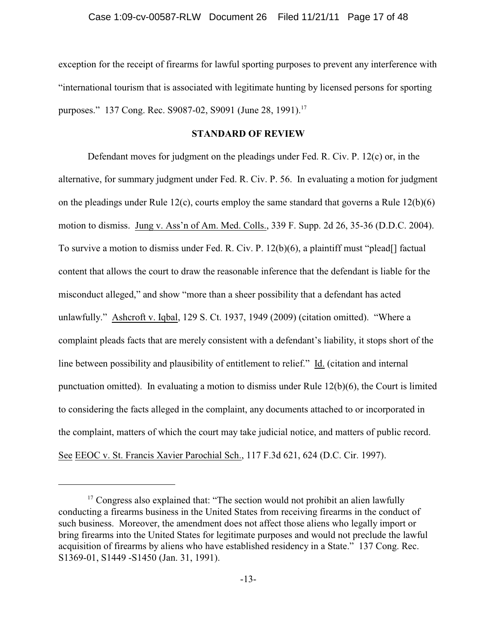exception for the receipt of firearms for lawful sporting purposes to prevent any interference with "international tourism that is associated with legitimate hunting by licensed persons for sporting purposes." 137 Cong. Rec. S9087-02, S9091 (June 28, 1991).<sup>17</sup>

### **STANDARD OF REVIEW**

Defendant moves for judgment on the pleadings under Fed. R. Civ. P. 12(c) or, in the alternative, for summary judgment under Fed. R. Civ. P. 56. In evaluating a motion for judgment on the pleadings under Rule 12(c), courts employ the same standard that governs a Rule 12(b)(6) motion to dismiss. Jung v. Ass'n of Am. Med. Colls., 339 F. Supp. 2d 26, 35-36 (D.D.C. 2004). To survive a motion to dismiss under Fed. R. Civ. P. 12(b)(6), a plaintiff must "plead[] factual content that allows the court to draw the reasonable inference that the defendant is liable for the misconduct alleged," and show "more than a sheer possibility that a defendant has acted unlawfully." Ashcroft v. Iqbal, 129 S. Ct. 1937, 1949 (2009) (citation omitted). "Where a complaint pleads facts that are merely consistent with a defendant's liability, it stops short of the line between possibility and plausibility of entitlement to relief." Id. (citation and internal punctuation omitted). In evaluating a motion to dismiss under Rule 12(b)(6), the Court is limited to considering the facts alleged in the complaint, any documents attached to or incorporated in the complaint, matters of which the court may take judicial notice, and matters of public record. See EEOC v. St. Francis Xavier Parochial Sch., 117 F.3d 621, 624 (D.C. Cir. 1997).

 $17$  Congress also explained that: "The section would not prohibit an alien lawfully conducting a firearms business in the United States from receiving firearms in the conduct of such business. Moreover, the amendment does not affect those aliens who legally import or bring firearms into the United States for legitimate purposes and would not preclude the lawful acquisition of firearms by aliens who have established residency in a State." 137 Cong. Rec. S1369-01, S1449 -S1450 (Jan. 31, 1991).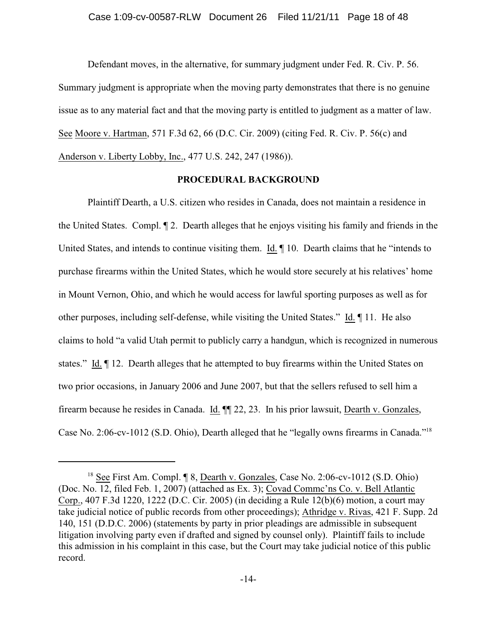Defendant moves, in the alternative, for summary judgment under Fed. R. Civ. P. 56. Summary judgment is appropriate when the moving party demonstrates that there is no genuine issue as to any material fact and that the moving party is entitled to judgment as a matter of law. See Moore v. Hartman, 571 F.3d 62, 66 (D.C. Cir. 2009) (citing Fed. R. Civ. P. 56(c) and Anderson v. Liberty Lobby, Inc., 477 U.S. 242, 247 (1986)).

#### **PROCEDURAL BACKGROUND**

Plaintiff Dearth, a U.S. citizen who resides in Canada, does not maintain a residence in the United States. Compl. ¶ 2. Dearth alleges that he enjoys visiting his family and friends in the United States, and intends to continue visiting them. Id. ¶ 10. Dearth claims that he "intends to purchase firearms within the United States, which he would store securely at his relatives' home in Mount Vernon, Ohio, and which he would access for lawful sporting purposes as well as for other purposes, including self-defense, while visiting the United States." Id. ¶ 11. He also claims to hold "a valid Utah permit to publicly carry a handgun, which is recognized in numerous states." Id. ¶ 12. Dearth alleges that he attempted to buy firearms within the United States on two prior occasions, in January 2006 and June 2007, but that the sellers refused to sell him a firearm because he resides in Canada. Id. ¶¶ 22, 23. In his prior lawsuit, Dearth v. Gonzales, Case No. 2:06-cv-1012 (S.D. Ohio), Dearth alleged that he "legally owns firearms in Canada."<sup>18</sup>

 $18$  See First Am. Compl.  $\sqrt{9}$  8, Dearth v. Gonzales, Case No. 2:06-cv-1012 (S.D. Ohio) (Doc. No. 12, filed Feb. 1, 2007) (attached as Ex. 3); Covad Commc'ns Co. v. Bell Atlantic Corp., 407 F.3d 1220, 1222 (D.C. Cir. 2005) (in deciding a Rule 12(b)(6) motion, a court may take judicial notice of public records from other proceedings); Athridge v. Rivas, 421 F. Supp. 2d 140, 151 (D.D.C. 2006) (statements by party in prior pleadings are admissible in subsequent litigation involving party even if drafted and signed by counsel only). Plaintiff fails to include this admission in his complaint in this case, but the Court may take judicial notice of this public record.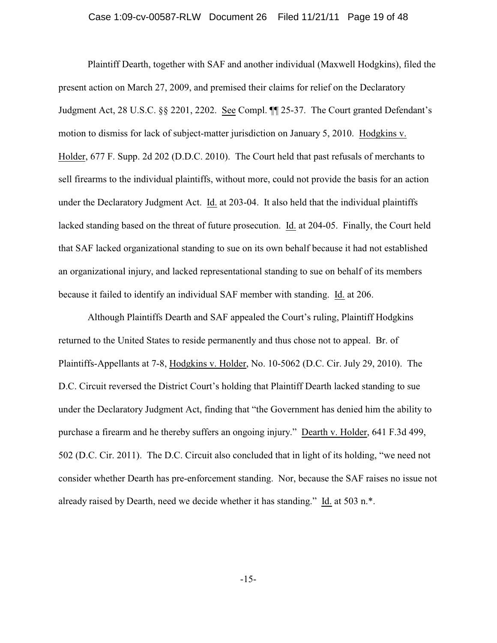#### Case 1:09-cv-00587-RLW Document 26 Filed 11/21/11 Page 19 of 48

Plaintiff Dearth, together with SAF and another individual (Maxwell Hodgkins), filed the present action on March 27, 2009, and premised their claims for relief on the Declaratory Judgment Act, 28 U.S.C. §§ 2201, 2202. See Compl. ¶¶ 25-37. The Court granted Defendant's motion to dismiss for lack of subject-matter jurisdiction on January 5, 2010. Hodgkins v. Holder, 677 F. Supp. 2d 202 (D.D.C. 2010). The Court held that past refusals of merchants to sell firearms to the individual plaintiffs, without more, could not provide the basis for an action under the Declaratory Judgment Act. Id. at 203-04. It also held that the individual plaintiffs lacked standing based on the threat of future prosecution. Id. at 204-05. Finally, the Court held that SAF lacked organizational standing to sue on its own behalf because it had not established an organizational injury, and lacked representational standing to sue on behalf of its members because it failed to identify an individual SAF member with standing. Id. at 206.

Although Plaintiffs Dearth and SAF appealed the Court's ruling, Plaintiff Hodgkins returned to the United States to reside permanently and thus chose not to appeal. Br. of Plaintiffs-Appellants at 7-8, Hodgkins v. Holder, No. 10-5062 (D.C. Cir. July 29, 2010). The D.C. Circuit reversed the District Court's holding that Plaintiff Dearth lacked standing to sue under the Declaratory Judgment Act, finding that "the Government has denied him the ability to purchase a firearm and he thereby suffers an ongoing injury." Dearth v. Holder, 641 F.3d 499, 502 (D.C. Cir. 2011). The D.C. Circuit also concluded that in light of its holding, "we need not consider whether Dearth has pre-enforcement standing. Nor, because the SAF raises no issue not already raised by Dearth, need we decide whether it has standing." Id. at 503 n.\*.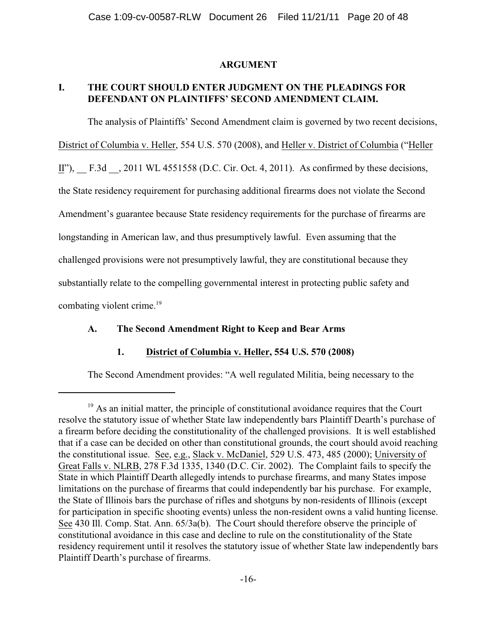### **ARGUMENT**

# **I. THE COURT SHOULD ENTER JUDGMENT ON THE PLEADINGS FOR DEFENDANT ON PLAINTIFFS' SECOND AMENDMENT CLAIM.**

The analysis of Plaintiffs' Second Amendment claim is governed by two recent decisions, District of Columbia v. Heller, 554 U.S. 570 (2008), and Heller v. District of Columbia ("Heller II"), F.3d , 2011 WL 4551558 (D.C. Cir. Oct. 4, 2011). As confirmed by these decisions, the State residency requirement for purchasing additional firearms does not violate the Second Amendment's guarantee because State residency requirements for the purchase of firearms are longstanding in American law, and thus presumptively lawful. Even assuming that the challenged provisions were not presumptively lawful, they are constitutional because they substantially relate to the compelling governmental interest in protecting public safety and combating violent crime.<sup>19</sup>

# **A. The Second Amendment Right to Keep and Bear Arms**

# **1. District of Columbia v. Heller, 554 U.S. 570 (2008)**

The Second Amendment provides: "A well regulated Militia, being necessary to the

 $19$  As an initial matter, the principle of constitutional avoidance requires that the Court resolve the statutory issue of whether State law independently bars Plaintiff Dearth's purchase of a firearm before deciding the constitutionality of the challenged provisions. It is well established that if a case can be decided on other than constitutional grounds, the court should avoid reaching the constitutional issue. See, e.g., Slack v. McDaniel, 529 U.S. 473, 485 (2000); University of Great Falls v. NLRB, 278 F.3d 1335, 1340 (D.C. Cir. 2002). The Complaint fails to specify the State in which Plaintiff Dearth allegedly intends to purchase firearms, and many States impose limitations on the purchase of firearms that could independently bar his purchase. For example, the State of Illinois bars the purchase of rifles and shotguns by non-residents of Illinois (except for participation in specific shooting events) unless the non-resident owns a valid hunting license. See 430 Ill. Comp. Stat. Ann. 65/3a(b). The Court should therefore observe the principle of constitutional avoidance in this case and decline to rule on the constitutionality of the State residency requirement until it resolves the statutory issue of whether State law independently bars Plaintiff Dearth's purchase of firearms.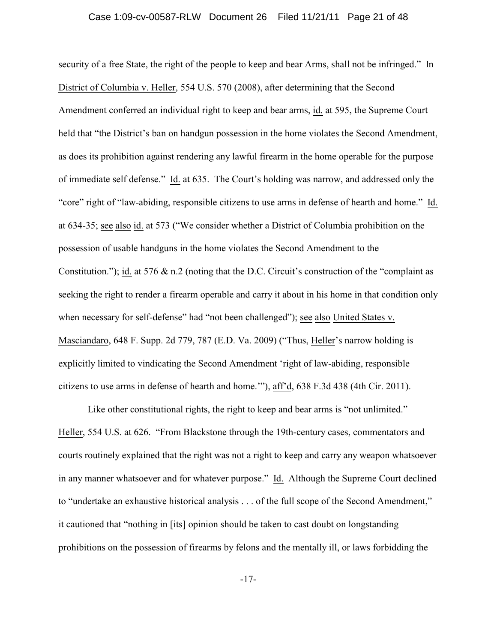security of a free State, the right of the people to keep and bear Arms, shall not be infringed." In District of Columbia v. Heller, 554 U.S. 570 (2008), after determining that the Second Amendment conferred an individual right to keep and bear arms, id. at 595, the Supreme Court held that "the District's ban on handgun possession in the home violates the Second Amendment, as does its prohibition against rendering any lawful firearm in the home operable for the purpose of immediate self defense." Id. at 635. The Court's holding was narrow, and addressed only the "core" right of "law-abiding, responsible citizens to use arms in defense of hearth and home." Id. at 634-35; see also id. at 573 ("We consider whether a District of Columbia prohibition on the possession of usable handguns in the home violates the Second Amendment to the Constitution."); id. at 576 & n.2 (noting that the D.C. Circuit's construction of the "complaint as seeking the right to render a firearm operable and carry it about in his home in that condition only when necessary for self-defense" had "not been challenged"); see also United States v. Masciandaro, 648 F. Supp. 2d 779, 787 (E.D. Va. 2009) ("Thus, Heller's narrow holding is explicitly limited to vindicating the Second Amendment 'right of law-abiding, responsible citizens to use arms in defense of hearth and home.'"), aff'd, 638 F.3d 438 (4th Cir. 2011).

Like other constitutional rights, the right to keep and bear arms is "not unlimited." Heller, 554 U.S. at 626. "From Blackstone through the 19th-century cases, commentators and courts routinely explained that the right was not a right to keep and carry any weapon whatsoever in any manner whatsoever and for whatever purpose." Id. Although the Supreme Court declined to "undertake an exhaustive historical analysis . . . of the full scope of the Second Amendment," it cautioned that "nothing in [its] opinion should be taken to cast doubt on longstanding prohibitions on the possession of firearms by felons and the mentally ill, or laws forbidding the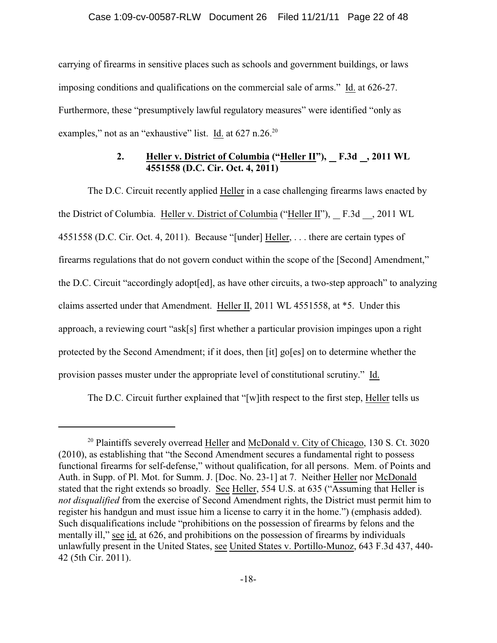carrying of firearms in sensitive places such as schools and government buildings, or laws imposing conditions and qualifications on the commercial sale of arms." Id. at 626-27. Furthermore, these "presumptively lawful regulatory measures" were identified "only as examples," not as an "exhaustive" list. Id. at 627 n.26.<sup>20</sup>

# **2. Heller v. District of Columbia ("Heller II"), F.3d , 2011 WL 4551558 (D.C. Cir. Oct. 4, 2011)**

The D.C. Circuit recently applied Heller in a case challenging firearms laws enacted by the District of Columbia. Heller v. District of Columbia ("Heller II"), F.3d , 2011 WL 4551558 (D.C. Cir. Oct. 4, 2011). Because "[under] Heller, . . . there are certain types of firearms regulations that do not govern conduct within the scope of the [Second] Amendment," the D.C. Circuit "accordingly adopt[ed], as have other circuits, a two-step approach" to analyzing claims asserted under that Amendment. Heller II, 2011 WL 4551558, at \*5. Under this approach, a reviewing court "ask[s] first whether a particular provision impinges upon a right protected by the Second Amendment; if it does, then [it] go[es] on to determine whether the provision passes muster under the appropriate level of constitutional scrutiny." Id.

The D.C. Circuit further explained that "[w]ith respect to the first step, Heller tells us

 $20$  Plaintiffs severely overread Heller and McDonald v. City of Chicago, 130 S. Ct. 3020 (2010), as establishing that "the Second Amendment secures a fundamental right to possess functional firearms for self-defense," without qualification, for all persons. Mem. of Points and Auth. in Supp. of Pl. Mot. for Summ. J. [Doc. No. 23-1] at 7. Neither Heller nor McDonald stated that the right extends so broadly. See Heller, 554 U.S. at 635 ("Assuming that Heller is *not disqualified* from the exercise of Second Amendment rights, the District must permit him to register his handgun and must issue him a license to carry it in the home.") (emphasis added). Such disqualifications include "prohibitions on the possession of firearms by felons and the mentally ill," see id. at 626, and prohibitions on the possession of firearms by individuals unlawfully present in the United States, see United States v. Portillo-Munoz, 643 F.3d 437, 440- 42 (5th Cir. 2011).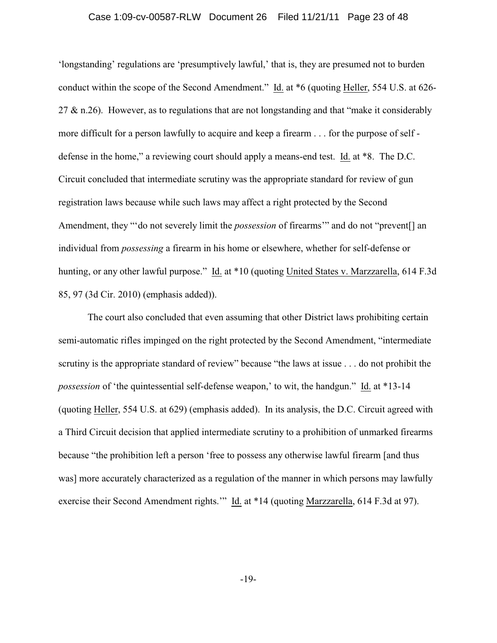#### Case 1:09-cv-00587-RLW Document 26 Filed 11/21/11 Page 23 of 48

'longstanding' regulations are 'presumptively lawful,' that is, they are presumed not to burden conduct within the scope of the Second Amendment." Id. at \*6 (quoting Heller, 554 U.S. at 626- 27  $\&$  n.26). However, as to regulations that are not longstanding and that "make it considerably more difficult for a person lawfully to acquire and keep a firearm . . . for the purpose of self defense in the home," a reviewing court should apply a means-end test. Id. at \*8. The D.C. Circuit concluded that intermediate scrutiny was the appropriate standard for review of gun registration laws because while such laws may affect a right protected by the Second Amendment, they "'do not severely limit the *possession* of firearms'" and do not "prevent[] an individual from *possessing* a firearm in his home or elsewhere, whether for self-defense or hunting, or any other lawful purpose." Id. at \*10 (quoting United States v. Marzzarella, 614 F.3d 85, 97 (3d Cir. 2010) (emphasis added)).

The court also concluded that even assuming that other District laws prohibiting certain semi-automatic rifles impinged on the right protected by the Second Amendment, "intermediate scrutiny is the appropriate standard of review" because "the laws at issue . . . do not prohibit the *possession* of 'the quintessential self-defense weapon,' to wit, the handgun." Id. at \*13-14 (quoting Heller, 554 U.S. at 629) (emphasis added). In its analysis, the D.C. Circuit agreed with a Third Circuit decision that applied intermediate scrutiny to a prohibition of unmarked firearms because "the prohibition left a person 'free to possess any otherwise lawful firearm [and thus was] more accurately characterized as a regulation of the manner in which persons may lawfully exercise their Second Amendment rights.'" Id. at \*14 (quoting Marzzarella, 614 F.3d at 97).

-19-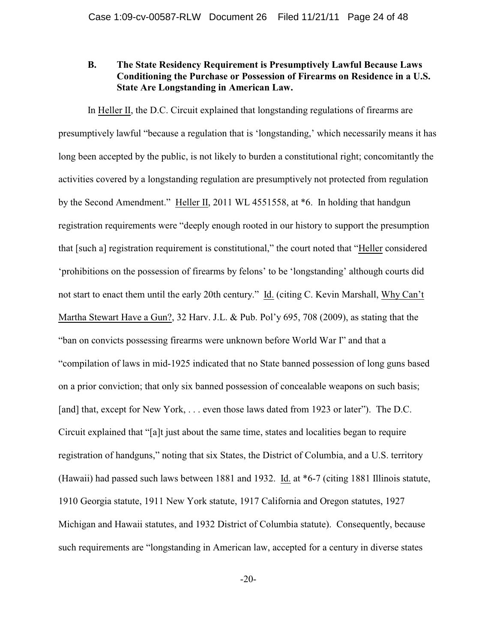# **B. The State Residency Requirement is Presumptively Lawful Because Laws Conditioning the Purchase or Possession of Firearms on Residence in a U.S. State Are Longstanding in American Law.**

In Heller II, the D.C. Circuit explained that longstanding regulations of firearms are presumptively lawful "because a regulation that is 'longstanding,' which necessarily means it has long been accepted by the public, is not likely to burden a constitutional right; concomitantly the activities covered by a longstanding regulation are presumptively not protected from regulation by the Second Amendment." Heller II, 2011 WL 4551558, at \*6. In holding that handgun registration requirements were "deeply enough rooted in our history to support the presumption that [such a] registration requirement is constitutional," the court noted that "Heller considered 'prohibitions on the possession of firearms by felons' to be 'longstanding' although courts did not start to enact them until the early 20th century." Id. (citing C. Kevin Marshall, Why Can't Martha Stewart Have a Gun?, 32 Harv. J.L. & Pub. Pol'y 695, 708 (2009), as stating that the "ban on convicts possessing firearms were unknown before World War I" and that a "compilation of laws in mid-1925 indicated that no State banned possession of long guns based on a prior conviction; that only six banned possession of concealable weapons on such basis; [and] that, except for New York, ... even those laws dated from 1923 or later"). The D.C. Circuit explained that "[a]t just about the same time, states and localities began to require registration of handguns," noting that six States, the District of Columbia, and a U.S. territory (Hawaii) had passed such laws between 1881 and 1932. Id. at \*6-7 (citing 1881 Illinois statute, 1910 Georgia statute, 1911 New York statute, 1917 California and Oregon statutes, 1927 Michigan and Hawaii statutes, and 1932 District of Columbia statute). Consequently, because such requirements are "longstanding in American law, accepted for a century in diverse states

-20-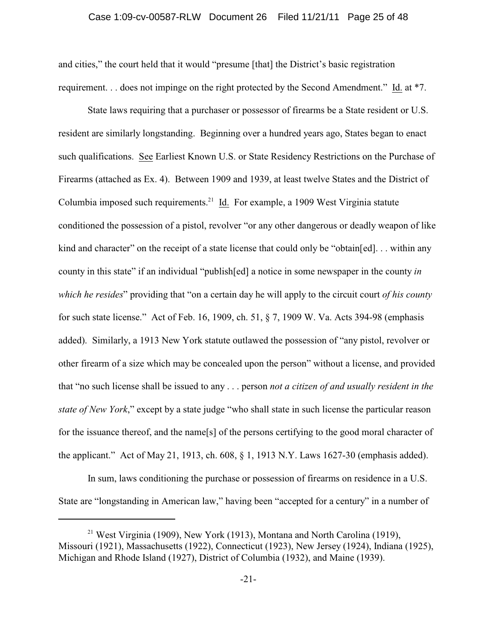#### Case 1:09-cv-00587-RLW Document 26 Filed 11/21/11 Page 25 of 48

and cities," the court held that it would "presume [that] the District's basic registration requirement. . . does not impinge on the right protected by the Second Amendment." Id. at \*7.

State laws requiring that a purchaser or possessor of firearms be a State resident or U.S. resident are similarly longstanding. Beginning over a hundred years ago, States began to enact such qualifications. See Earliest Known U.S. or State Residency Restrictions on the Purchase of Firearms (attached as Ex. 4). Between 1909 and 1939, at least twelve States and the District of Columbia imposed such requirements.<sup>21</sup> Id. For example, a 1909 West Virginia statute conditioned the possession of a pistol, revolver "or any other dangerous or deadly weapon of like kind and character" on the receipt of a state license that could only be "obtain[ed]... within any county in this state" if an individual "publish[ed] a notice in some newspaper in the county *in which he resides*" providing that "on a certain day he will apply to the circuit court *of his county* for such state license." Act of Feb. 16, 1909, ch. 51, § 7, 1909 W. Va. Acts 394-98 (emphasis added). Similarly, a 1913 New York statute outlawed the possession of "any pistol, revolver or other firearm of a size which may be concealed upon the person" without a license, and provided that "no such license shall be issued to any . . . person *not a citizen of and usually resident in the state of New York*," except by a state judge "who shall state in such license the particular reason for the issuance thereof, and the name[s] of the persons certifying to the good moral character of the applicant." Act of May 21, 1913, ch. 608, § 1, 1913 N.Y. Laws 1627-30 (emphasis added).

In sum, laws conditioning the purchase or possession of firearms on residence in a U.S. State are "longstanding in American law," having been "accepted for a century" in a number of

<sup>&</sup>lt;sup>21</sup> West Virginia (1909), New York (1913), Montana and North Carolina (1919), Missouri (1921), Massachusetts (1922), Connecticut (1923), New Jersey (1924), Indiana (1925), Michigan and Rhode Island (1927), District of Columbia (1932), and Maine (1939).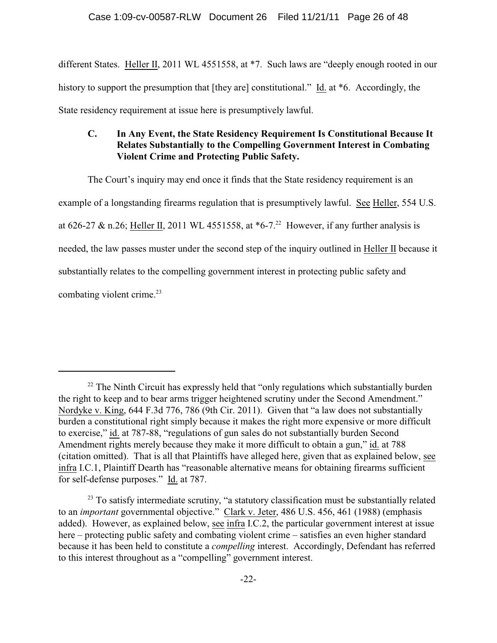different States. Heller II, 2011 WL 4551558, at \*7. Such laws are "deeply enough rooted in our history to support the presumption that [they are] constitutional." Id. at  $*6$ . Accordingly, the State residency requirement at issue here is presumptively lawful.

# **C. In Any Event, the State Residency Requirement Is Constitutional Because It Relates Substantially to the Compelling Government Interest in Combating Violent Crime and Protecting Public Safety.**

The Court's inquiry may end once it finds that the State residency requirement is an example of a longstanding firearms regulation that is presumptively lawful. See Heller, 554 U.S. at 626-27 & n.26; Heller II, 2011 WL 4551558, at  $*6$ -7.<sup>22</sup> However, if any further analysis is needed, the law passes muster under the second step of the inquiry outlined in Heller II because it substantially relates to the compelling government interest in protecting public safety and

combating violent crime.<sup>23</sup>

 $22$  The Ninth Circuit has expressly held that "only regulations which substantially burden the right to keep and to bear arms trigger heightened scrutiny under the Second Amendment." Nordyke v. King, 644 F.3d 776, 786 (9th Cir. 2011). Given that "a law does not substantially burden a constitutional right simply because it makes the right more expensive or more difficult to exercise," id. at 787-88, "regulations of gun sales do not substantially burden Second Amendment rights merely because they make it more difficult to obtain a gun," id. at 788 (citation omitted). That is all that Plaintiffs have alleged here, given that as explained below, see infra I.C.1, Plaintiff Dearth has "reasonable alternative means for obtaining firearms sufficient for self-defense purposes." Id. at 787.

 $23$  To satisfy intermediate scrutiny, "a statutory classification must be substantially related to an *important* governmental objective." Clark v. Jeter, 486 U.S. 456, 461 (1988) (emphasis added). However, as explained below, see infra I.C.2, the particular government interest at issue here – protecting public safety and combating violent crime – satisfies an even higher standard because it has been held to constitute a *compelling* interest. Accordingly, Defendant has referred to this interest throughout as a "compelling" government interest.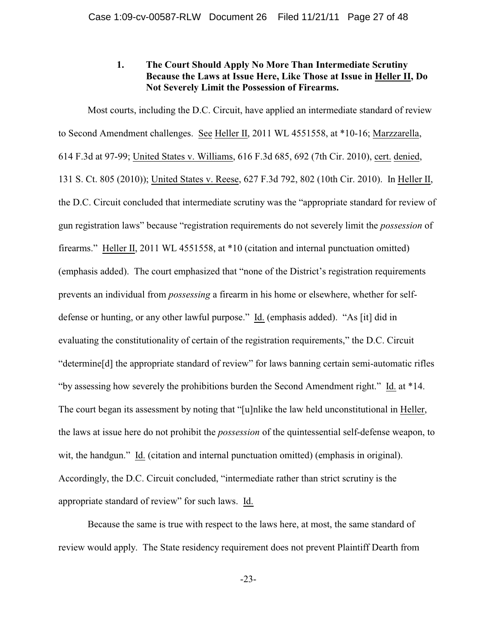# **1. The Court Should Apply No More Than Intermediate Scrutiny Because the Laws at Issue Here, Like Those at Issue in Heller II, Do Not Severely Limit the Possession of Firearms.**

Most courts, including the D.C. Circuit, have applied an intermediate standard of review to Second Amendment challenges. See Heller II, 2011 WL 4551558, at \*10-16; Marzzarella, 614 F.3d at 97-99; United States v. Williams, 616 F.3d 685, 692 (7th Cir. 2010), cert. denied, 131 S. Ct. 805 (2010)); United States v. Reese, 627 F.3d 792, 802 (10th Cir. 2010). In Heller II, the D.C. Circuit concluded that intermediate scrutiny was the "appropriate standard for review of gun registration laws" because "registration requirements do not severely limit the *possession* of firearms." Heller II, 2011 WL 4551558, at \*10 (citation and internal punctuation omitted) (emphasis added). The court emphasized that "none of the District's registration requirements prevents an individual from *possessing* a firearm in his home or elsewhere, whether for selfdefense or hunting, or any other lawful purpose." Id. (emphasis added). "As [it] did in evaluating the constitutionality of certain of the registration requirements," the D.C. Circuit "determine[d] the appropriate standard of review" for laws banning certain semi-automatic rifles "by assessing how severely the prohibitions burden the Second Amendment right." Id. at \*14. The court began its assessment by noting that "[u]nlike the law held unconstitutional in Heller, the laws at issue here do not prohibit the *possession* of the quintessential self-defense weapon, to wit, the handgun." Id. (citation and internal punctuation omitted) (emphasis in original). Accordingly, the D.C. Circuit concluded, "intermediate rather than strict scrutiny is the appropriate standard of review" for such laws. Id.

Because the same is true with respect to the laws here, at most, the same standard of review would apply. The State residency requirement does not prevent Plaintiff Dearth from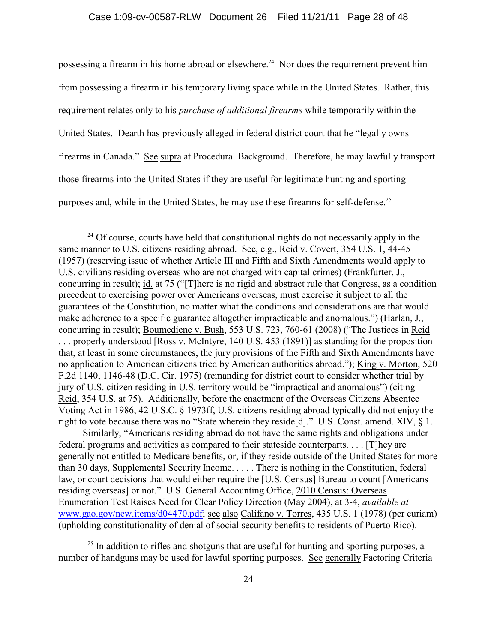possessing a firearm in his home abroad or elsewhere.<sup>24</sup> Nor does the requirement prevent him from possessing a firearm in his temporary living space while in the United States. Rather, this requirement relates only to his *purchase of additional firearms* while temporarily within the United States. Dearth has previously alleged in federal district court that he "legally owns firearms in Canada." See supra at Procedural Background. Therefore, he may lawfully transport those firearms into the United States if they are useful for legitimate hunting and sporting purposes and, while in the United States, he may use these firearms for self-defense.<sup>25</sup>

 Similarly, "Americans residing abroad do not have the same rights and obligations under federal programs and activities as compared to their stateside counterparts. . . . [T]hey are generally not entitled to Medicare benefits, or, if they reside outside of the United States for more than 30 days, Supplemental Security Income. . . . . There is nothing in the Constitution, federal law, or court decisions that would either require the [U.S. Census] Bureau to count [Americans residing overseas] or not." U.S. General Accounting Office, 2010 Census: Overseas Enumeration Test Raises Need for Clear Policy Direction (May 2004), at 3-4, *available at* www.gao.gov/new.items/d04470.pdf; see also Califano v. Torres, 435 U.S. 1 (1978) (per curiam) (upholding constitutionality of denial of social security benefits to residents of Puerto Rico).

 $^{25}$  In addition to rifles and shotguns that are useful for hunting and sporting purposes, a number of handguns may be used for lawful sporting purposes. See generally Factoring Criteria

 $^{24}$  Of course, courts have held that constitutional rights do not necessarily apply in the same manner to U.S. citizens residing abroad. See, e.g., Reid v. Covert, 354 U.S. 1, 44-45 (1957) (reserving issue of whether Article III and Fifth and Sixth Amendments would apply to U.S. civilians residing overseas who are not charged with capital crimes) (Frankfurter, J., concurring in result); id. at 75 ("[T]here is no rigid and abstract rule that Congress, as a condition precedent to exercising power over Americans overseas, must exercise it subject to all the guarantees of the Constitution, no matter what the conditions and considerations are that would make adherence to a specific guarantee altogether impracticable and anomalous.") (Harlan, J., concurring in result); Boumediene v. Bush, 553 U.S. 723, 760-61 (2008) ("The Justices in Reid . . . properly understood [Ross v. McIntyre, 140 U.S. 453 (1891)] as standing for the proposition that, at least in some circumstances, the jury provisions of the Fifth and Sixth Amendments have no application to American citizens tried by American authorities abroad."); King v. Morton, 520 F.2d 1140, 1146-48 (D.C. Cir. 1975) (remanding for district court to consider whether trial by jury of U.S. citizen residing in U.S. territory would be "impractical and anomalous") (citing Reid, 354 U.S. at 75). Additionally, before the enactment of the Overseas Citizens Absentee Voting Act in 1986, 42 U.S.C. § 1973ff, U.S. citizens residing abroad typically did not enjoy the right to vote because there was no "State wherein they reside [d]." U.S. Const. amend. XIV,  $\S$  1.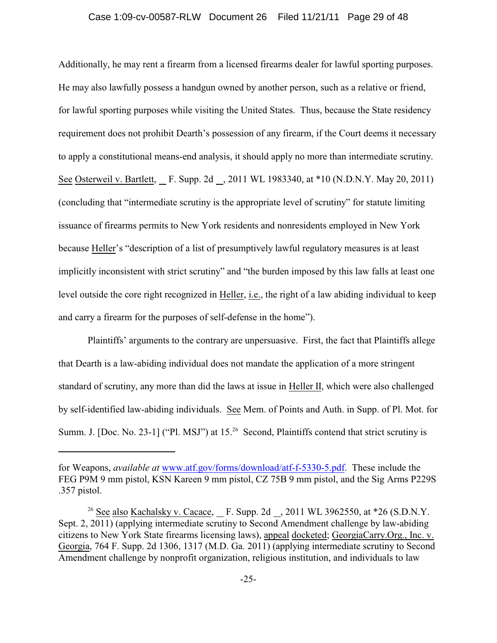Additionally, he may rent a firearm from a licensed firearms dealer for lawful sporting purposes. He may also lawfully possess a handgun owned by another person, such as a relative or friend, for lawful sporting purposes while visiting the United States. Thus, because the State residency requirement does not prohibit Dearth's possession of any firearm, if the Court deems it necessary to apply a constitutional means-end analysis, it should apply no more than intermediate scrutiny. See Osterweil v. Bartlett, F. Supp. 2d , 2011 WL 1983340, at \*10 (N.D.N.Y. May 20, 2011) (concluding that "intermediate scrutiny is the appropriate level of scrutiny" for statute limiting issuance of firearms permits to New York residents and nonresidents employed in New York because Heller's "description of a list of presumptively lawful regulatory measures is at least implicitly inconsistent with strict scrutiny" and "the burden imposed by this law falls at least one level outside the core right recognized in Heller, i.e., the right of a law abiding individual to keep and carry a firearm for the purposes of self-defense in the home").

Plaintiffs' arguments to the contrary are unpersuasive. First, the fact that Plaintiffs allege that Dearth is a law-abiding individual does not mandate the application of a more stringent standard of scrutiny, any more than did the laws at issue in Heller II, which were also challenged by self-identified law-abiding individuals. See Mem. of Points and Auth. in Supp. of Pl. Mot. for Summ. J. [Doc. No. 23-1] ("Pl. MSJ") at 15.<sup>26</sup> Second, Plaintiffs contend that strict scrutiny is

for Weapons, *available at* www.atf.gov/forms/download/atf-f-5330-5.pdf. These include the FEG P9M 9 mm pistol, KSN Kareen 9 mm pistol, CZ 75B 9 mm pistol, and the Sig Arms P229S .357 pistol.

<sup>&</sup>lt;sup>26</sup> See also Kachalsky v. Cacace, F. Supp. 2d , 2011 WL 3962550, at  $*26$  (S.D.N.Y. Sept. 2, 2011) (applying intermediate scrutiny to Second Amendment challenge by law-abiding citizens to New York State firearms licensing laws), appeal docketed; GeorgiaCarry.Org., Inc. v. Georgia, 764 F. Supp. 2d 1306, 1317 (M.D. Ga. 2011) (applying intermediate scrutiny to Second Amendment challenge by nonprofit organization, religious institution, and individuals to law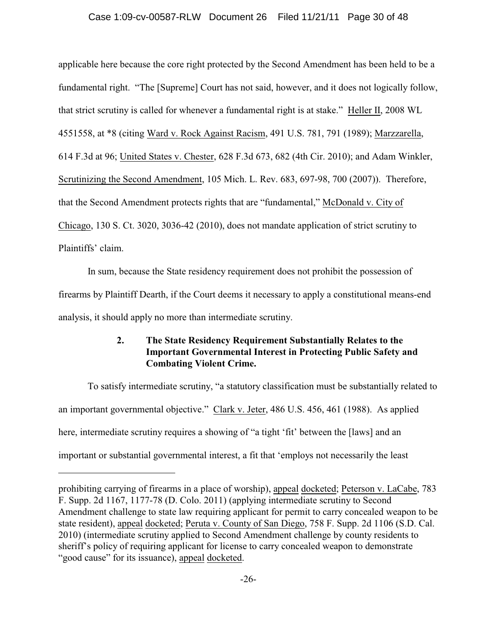### Case 1:09-cv-00587-RLW Document 26 Filed 11/21/11 Page 30 of 48

applicable here because the core right protected by the Second Amendment has been held to be a fundamental right. "The [Supreme] Court has not said, however, and it does not logically follow, that strict scrutiny is called for whenever a fundamental right is at stake." Heller II, 2008 WL 4551558, at \*8 (citing Ward v. Rock Against Racism, 491 U.S. 781, 791 (1989); Marzzarella, 614 F.3d at 96; United States v. Chester, 628 F.3d 673, 682 (4th Cir. 2010); and Adam Winkler, Scrutinizing the Second Amendment, 105 Mich. L. Rev. 683, 697-98, 700 (2007)). Therefore, that the Second Amendment protects rights that are "fundamental," McDonald v. City of Chicago, 130 S. Ct. 3020, 3036-42 (2010), does not mandate application of strict scrutiny to Plaintiffs' claim.

In sum, because the State residency requirement does not prohibit the possession of firearms by Plaintiff Dearth, if the Court deems it necessary to apply a constitutional means-end analysis, it should apply no more than intermediate scrutiny.

# **2. The State Residency Requirement Substantially Relates to the Important Governmental Interest in Protecting Public Safety and Combating Violent Crime.**

To satisfy intermediate scrutiny, "a statutory classification must be substantially related to an important governmental objective." Clark v. Jeter, 486 U.S. 456, 461 (1988). As applied here, intermediate scrutiny requires a showing of "a tight 'fit' between the [laws] and an important or substantial governmental interest, a fit that 'employs not necessarily the least

prohibiting carrying of firearms in a place of worship), appeal docketed; Peterson v. LaCabe, 783 F. Supp. 2d 1167, 1177-78 (D. Colo. 2011) (applying intermediate scrutiny to Second Amendment challenge to state law requiring applicant for permit to carry concealed weapon to be state resident), appeal docketed; Peruta v. County of San Diego, 758 F. Supp. 2d 1106 (S.D. Cal. 2010) (intermediate scrutiny applied to Second Amendment challenge by county residents to sheriff's policy of requiring applicant for license to carry concealed weapon to demonstrate "good cause" for its issuance), appeal docketed.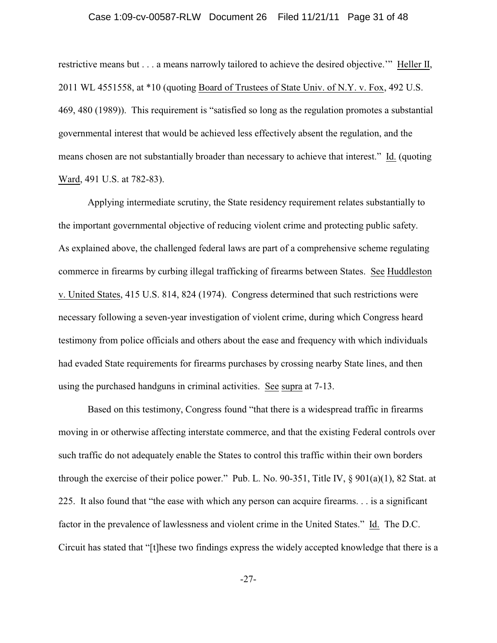#### Case 1:09-cv-00587-RLW Document 26 Filed 11/21/11 Page 31 of 48

restrictive means but . . . a means narrowly tailored to achieve the desired objective.'" Heller II, 2011 WL 4551558, at \*10 (quoting Board of Trustees of State Univ. of N.Y. v. Fox, 492 U.S. 469, 480 (1989)). This requirement is "satisfied so long as the regulation promotes a substantial governmental interest that would be achieved less effectively absent the regulation, and the means chosen are not substantially broader than necessary to achieve that interest." Id. (quoting Ward, 491 U.S. at 782-83).

Applying intermediate scrutiny, the State residency requirement relates substantially to the important governmental objective of reducing violent crime and protecting public safety. As explained above, the challenged federal laws are part of a comprehensive scheme regulating commerce in firearms by curbing illegal trafficking of firearms between States. See Huddleston v. United States, 415 U.S. 814, 824 (1974). Congress determined that such restrictions were necessary following a seven-year investigation of violent crime, during which Congress heard testimony from police officials and others about the ease and frequency with which individuals had evaded State requirements for firearms purchases by crossing nearby State lines, and then using the purchased handguns in criminal activities. See supra at 7-13.

Based on this testimony, Congress found "that there is a widespread traffic in firearms moving in or otherwise affecting interstate commerce, and that the existing Federal controls over such traffic do not adequately enable the States to control this traffic within their own borders through the exercise of their police power." Pub. L. No. 90-351, Title IV, § 901(a)(1), 82 Stat. at 225. It also found that "the ease with which any person can acquire firearms. . . is a significant factor in the prevalence of lawlessness and violent crime in the United States." Id. The D.C. Circuit has stated that "[t]hese two findings express the widely accepted knowledge that there is a

-27-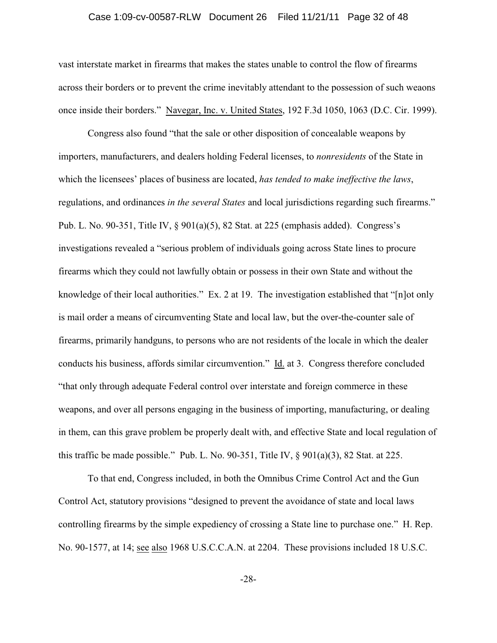#### Case 1:09-cv-00587-RLW Document 26 Filed 11/21/11 Page 32 of 48

vast interstate market in firearms that makes the states unable to control the flow of firearms across their borders or to prevent the crime inevitably attendant to the possession of such weaons once inside their borders." Navegar, Inc. v. United States, 192 F.3d 1050, 1063 (D.C. Cir. 1999).

Congress also found "that the sale or other disposition of concealable weapons by importers, manufacturers, and dealers holding Federal licenses, to *nonresidents* of the State in which the licensees' places of business are located, *has tended to make ineffective the laws*, regulations, and ordinances *in the several States* and local jurisdictions regarding such firearms." Pub. L. No. 90-351, Title IV, § 901(a)(5), 82 Stat. at 225 (emphasis added). Congress's investigations revealed a "serious problem of individuals going across State lines to procure firearms which they could not lawfully obtain or possess in their own State and without the knowledge of their local authorities." Ex. 2 at 19. The investigation established that "[n]ot only is mail order a means of circumventing State and local law, but the over-the-counter sale of firearms, primarily handguns, to persons who are not residents of the locale in which the dealer conducts his business, affords similar circumvention." Id. at 3. Congress therefore concluded "that only through adequate Federal control over interstate and foreign commerce in these weapons, and over all persons engaging in the business of importing, manufacturing, or dealing in them, can this grave problem be properly dealt with, and effective State and local regulation of this traffic be made possible." Pub. L. No. 90-351, Title IV,  $\S$  901(a)(3), 82 Stat. at 225.

To that end, Congress included, in both the Omnibus Crime Control Act and the Gun Control Act, statutory provisions "designed to prevent the avoidance of state and local laws controlling firearms by the simple expediency of crossing a State line to purchase one." H. Rep. No. 90-1577, at 14; see also 1968 U.S.C.C.A.N. at 2204. These provisions included 18 U.S.C.

-28-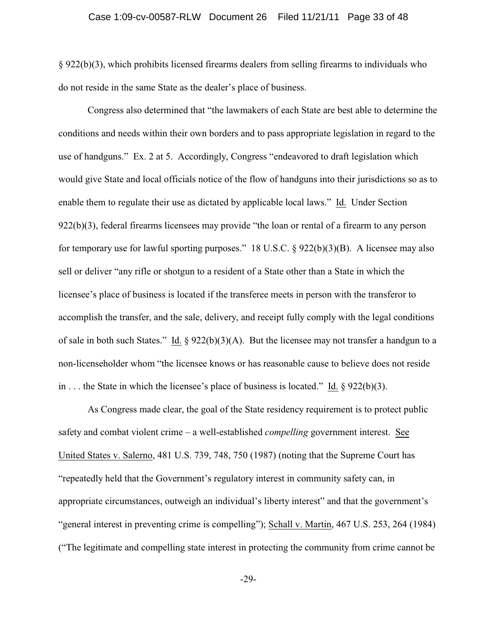§ 922(b)(3), which prohibits licensed firearms dealers from selling firearms to individuals who do not reside in the same State as the dealer's place of business.

Congress also determined that "the lawmakers of each State are best able to determine the conditions and needs within their own borders and to pass appropriate legislation in regard to the use of handguns." Ex. 2 at 5. Accordingly, Congress "endeavored to draft legislation which would give State and local officials notice of the flow of handguns into their jurisdictions so as to enable them to regulate their use as dictated by applicable local laws." Id. Under Section 922(b)(3), federal firearms licensees may provide "the loan or rental of a firearm to any person for temporary use for lawful sporting purposes." 18 U.S.C. § 922(b)(3)(B). A licensee may also sell or deliver "any rifle or shotgun to a resident of a State other than a State in which the licensee's place of business is located if the transferee meets in person with the transferor to accomplish the transfer, and the sale, delivery, and receipt fully comply with the legal conditions of sale in both such States." Id.  $\S 922(b)(3)(A)$ . But the licensee may not transfer a handgun to a non-licenseholder whom "the licensee knows or has reasonable cause to believe does not reside in . . . the State in which the licensee's place of business is located." Id. § 922(b)(3).

As Congress made clear, the goal of the State residency requirement is to protect public safety and combat violent crime – a well-established *compelling* government interest. See United States v. Salerno, 481 U.S. 739, 748, 750 (1987) (noting that the Supreme Court has "repeatedly held that the Government's regulatory interest in community safety can, in appropriate circumstances, outweigh an individual's liberty interest" and that the government's "general interest in preventing crime is compelling"); Schall v. Martin, 467 U.S. 253, 264 (1984) ("The legitimate and compelling state interest in protecting the community from crime cannot be

-29-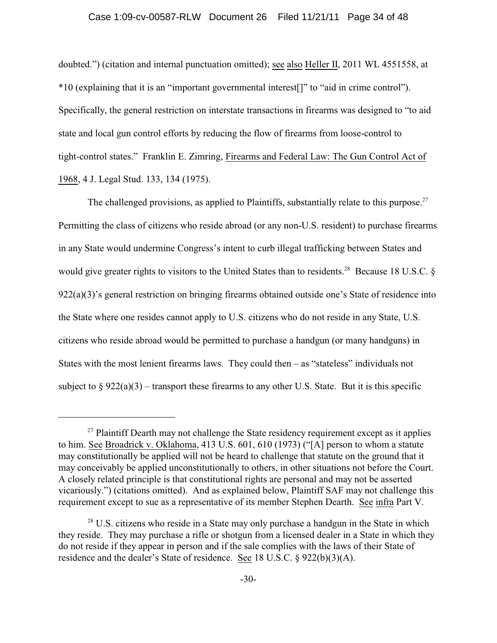#### Case 1:09-cv-00587-RLW Document 26 Filed 11/21/11 Page 34 of 48

doubted.") (citation and internal punctuation omitted); see also Heller II, 2011 WL 4551558, at \*10 (explaining that it is an "important governmental interest[]" to "aid in crime control"). Specifically, the general restriction on interstate transactions in firearms was designed to "to aid state and local gun control efforts by reducing the flow of firearms from loose-control to tight-control states." Franklin E. Zimring, Firearms and Federal Law: The Gun Control Act of 1968, 4 J. Legal Stud. 133, 134 (1975).

The challenged provisions, as applied to Plaintiffs, substantially relate to this purpose.<sup>27</sup> Permitting the class of citizens who reside abroad (or any non-U.S. resident) to purchase firearms in any State would undermine Congress's intent to curb illegal trafficking between States and would give greater rights to visitors to the United States than to residents.<sup>28</sup> Because 18 U.S.C.  $\delta$ 922(a)(3)'s general restriction on bringing firearms obtained outside one's State of residence into the State where one resides cannot apply to U.S. citizens who do not reside in any State, U.S. citizens who reside abroad would be permitted to purchase a handgun (or many handguns) in States with the most lenient firearms laws. They could then  $-$  as "stateless" individuals not subject to  $\S 922(a)(3)$  – transport these firearms to any other U.S. State. But it is this specific

 $27$  Plaintiff Dearth may not challenge the State residency requirement except as it applies to him. See Broadrick v. Oklahoma, 413 U.S. 601, 610 (1973) ("[A] person to whom a statute may constitutionally be applied will not be heard to challenge that statute on the ground that it may conceivably be applied unconstitutionally to others, in other situations not before the Court. A closely related principle is that constitutional rights are personal and may not be asserted vicariously.") (citations omitted). And as explained below, Plaintiff SAF may not challenge this requirement except to sue as a representative of its member Stephen Dearth. See infra Part V.

 $28$  U.S. citizens who reside in a State may only purchase a handgun in the State in which they reside. They may purchase a rifle or shotgun from a licensed dealer in a State in which they do not reside if they appear in person and if the sale complies with the laws of their State of residence and the dealer's State of residence. See 18 U.S.C. § 922(b)(3)(A).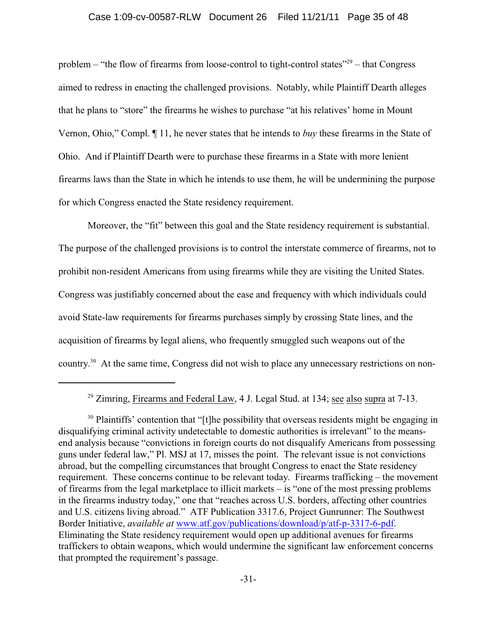#### Case 1:09-cv-00587-RLW Document 26 Filed 11/21/11 Page 35 of 48

problem – "the flow of firearms from loose-control to tight-control states"<sup>29</sup> – that Congress aimed to redress in enacting the challenged provisions. Notably, while Plaintiff Dearth alleges that he plans to "store" the firearms he wishes to purchase "at his relatives' home in Mount Vernon, Ohio," Compl. ¶ 11, he never states that he intends to *buy* these firearms in the State of Ohio. And if Plaintiff Dearth were to purchase these firearms in a State with more lenient firearms laws than the State in which he intends to use them, he will be undermining the purpose for which Congress enacted the State residency requirement.

Moreover, the "fit" between this goal and the State residency requirement is substantial. The purpose of the challenged provisions is to control the interstate commerce of firearms, not to prohibit non-resident Americans from using firearms while they are visiting the United States. Congress was justifiably concerned about the ease and frequency with which individuals could avoid State-law requirements for firearms purchases simply by crossing State lines, and the acquisition of firearms by legal aliens, who frequently smuggled such weapons out of the country.<sup>30</sup> At the same time, Congress did not wish to place any unnecessary restrictions on non-

<sup>&</sup>lt;sup>29</sup> Zimring, Firearms and Federal Law, 4 J. Legal Stud. at 134; <u>see also supra</u> at  $7-13$ .

<sup>&</sup>lt;sup>30</sup> Plaintiffs' contention that "[t]he possibility that overseas residents might be engaging in disqualifying criminal activity undetectable to domestic authorities is irrelevant" to the meansend analysis because "convictions in foreign courts do not disqualify Americans from possessing guns under federal law," Pl. MSJ at 17, misses the point. The relevant issue is not convictions abroad, but the compelling circumstances that brought Congress to enact the State residency requirement. These concerns continue to be relevant today. Firearms trafficking – the movement of firearms from the legal marketplace to illicit markets – is "one of the most pressing problems in the firearms industry today," one that "reaches across U.S. borders, affecting other countries and U.S. citizens living abroad." ATF Publication 3317.6, Project Gunrunner: The Southwest Border Initiative, *available at* www.atf.gov/publications/download/p/atf-p-3317-6-pdf. Eliminating the State residency requirement would open up additional avenues for firearms traffickers to obtain weapons, which would undermine the significant law enforcement concerns that prompted the requirement's passage.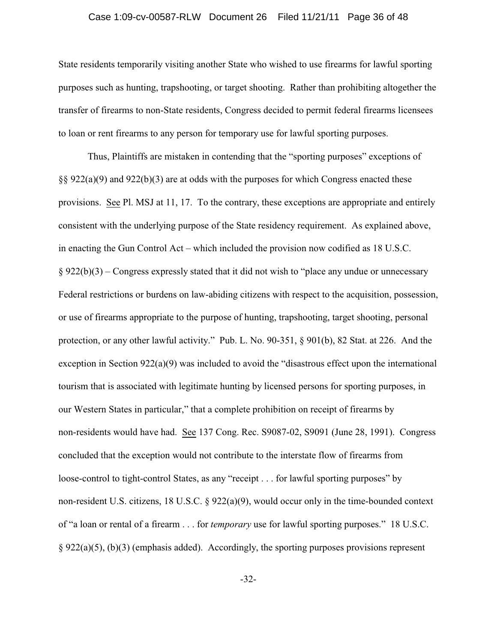#### Case 1:09-cv-00587-RLW Document 26 Filed 11/21/11 Page 36 of 48

State residents temporarily visiting another State who wished to use firearms for lawful sporting purposes such as hunting, trapshooting, or target shooting. Rather than prohibiting altogether the transfer of firearms to non-State residents, Congress decided to permit federal firearms licensees to loan or rent firearms to any person for temporary use for lawful sporting purposes.

Thus, Plaintiffs are mistaken in contending that the "sporting purposes" exceptions of §§ 922(a)(9) and 922(b)(3) are at odds with the purposes for which Congress enacted these provisions. See Pl. MSJ at 11, 17. To the contrary, these exceptions are appropriate and entirely consistent with the underlying purpose of the State residency requirement. As explained above, in enacting the Gun Control Act – which included the provision now codified as 18 U.S.C.  $§ 922(b)(3)$  – Congress expressly stated that it did not wish to "place any undue or unnecessary Federal restrictions or burdens on law-abiding citizens with respect to the acquisition, possession, or use of firearms appropriate to the purpose of hunting, trapshooting, target shooting, personal protection, or any other lawful activity." Pub. L. No. 90-351, § 901(b), 82 Stat. at 226. And the exception in Section 922(a)(9) was included to avoid the "disastrous effect upon the international tourism that is associated with legitimate hunting by licensed persons for sporting purposes, in our Western States in particular," that a complete prohibition on receipt of firearms by non-residents would have had. See 137 Cong. Rec. S9087-02, S9091 (June 28, 1991). Congress concluded that the exception would not contribute to the interstate flow of firearms from loose-control to tight-control States, as any "receipt . . . for lawful sporting purposes" by non-resident U.S. citizens, 18 U.S.C. § 922(a)(9), would occur only in the time-bounded context of "a loan or rental of a firearm . . . for *temporary* use for lawful sporting purposes." 18 U.S.C.  $\S 922(a)(5)$ , (b)(3) (emphasis added). Accordingly, the sporting purposes provisions represent

-32-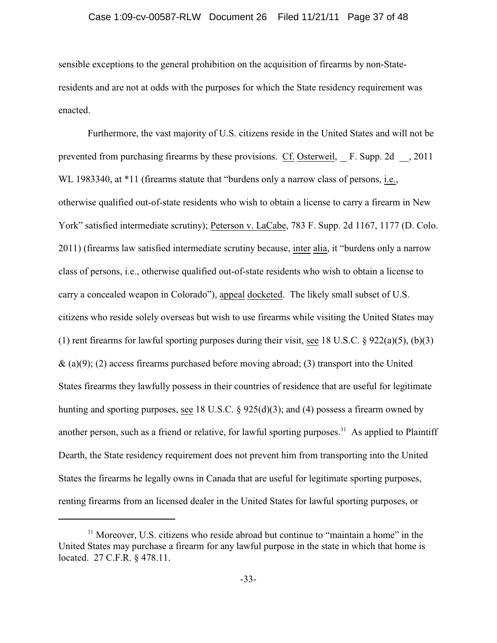#### Case 1:09-cv-00587-RLW Document 26 Filed 11/21/11 Page 37 of 48

sensible exceptions to the general prohibition on the acquisition of firearms by non-Stateresidents and are not at odds with the purposes for which the State residency requirement was enacted.

Furthermore, the vast majority of U.S. citizens reside in the United States and will not be prevented from purchasing firearms by these provisions. Cf. Osterweil, F. Supp. 2d , 2011 WL 1983340, at \*11 (firearms statute that "burdens only a narrow class of persons, i.e., otherwise qualified out-of-state residents who wish to obtain a license to carry a firearm in New York" satisfied intermediate scrutiny); Peterson v. LaCabe, 783 F. Supp. 2d 1167, 1177 (D. Colo. 2011) (firearms law satisfied intermediate scrutiny because, inter alia, it "burdens only a narrow class of persons, i.e., otherwise qualified out-of-state residents who wish to obtain a license to carry a concealed weapon in Colorado"), appeal docketed. The likely small subset of U.S. citizens who reside solely overseas but wish to use firearms while visiting the United States may (1) rent firearms for lawful sporting purposes during their visit, see 18 U.S.C.  $\S 922(a)(5)$ , (b)(3)  $\&$  (a)(9); (2) access firearms purchased before moving abroad; (3) transport into the United States firearms they lawfully possess in their countries of residence that are useful for legitimate hunting and sporting purposes, see 18 U.S.C. § 925(d)(3); and (4) possess a firearm owned by another person, such as a friend or relative, for lawful sporting purposes.<sup>31</sup> As applied to Plaintiff Dearth, the State residency requirement does not prevent him from transporting into the United States the firearms he legally owns in Canada that are useful for legitimate sporting purposes, renting firearms from an licensed dealer in the United States for lawful sporting purposes, or

 $31$  Moreover, U.S. citizens who reside abroad but continue to "maintain a home" in the United States may purchase a firearm for any lawful purpose in the state in which that home is located. 27 C.F.R. § 478.11.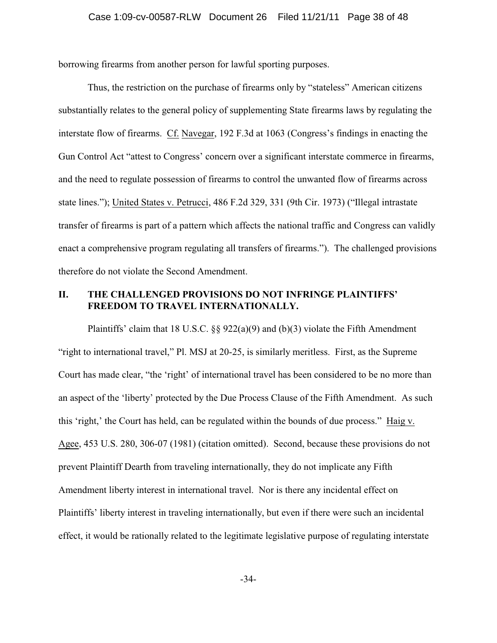borrowing firearms from another person for lawful sporting purposes.

Thus, the restriction on the purchase of firearms only by "stateless" American citizens substantially relates to the general policy of supplementing State firearms laws by regulating the interstate flow of firearms. Cf. Navegar, 192 F.3d at 1063 (Congress's findings in enacting the Gun Control Act "attest to Congress' concern over a significant interstate commerce in firearms, and the need to regulate possession of firearms to control the unwanted flow of firearms across state lines."); United States v. Petrucci, 486 F.2d 329, 331 (9th Cir. 1973) ("Illegal intrastate transfer of firearms is part of a pattern which affects the national traffic and Congress can validly enact a comprehensive program regulating all transfers of firearms."). The challenged provisions therefore do not violate the Second Amendment.

# **II. THE CHALLENGED PROVISIONS DO NOT INFRINGE PLAINTIFFS' FREEDOM TO TRAVEL INTERNATIONALLY.**

Plaintiffs' claim that 18 U.S.C.  $\S$ § 922(a)(9) and (b)(3) violate the Fifth Amendment "right to international travel," Pl. MSJ at 20-25, is similarly meritless. First, as the Supreme Court has made clear, "the 'right' of international travel has been considered to be no more than an aspect of the 'liberty' protected by the Due Process Clause of the Fifth Amendment. As such this 'right,' the Court has held, can be regulated within the bounds of due process." Haig v. Agee, 453 U.S. 280, 306-07 (1981) (citation omitted). Second, because these provisions do not prevent Plaintiff Dearth from traveling internationally, they do not implicate any Fifth Amendment liberty interest in international travel. Nor is there any incidental effect on Plaintiffs' liberty interest in traveling internationally, but even if there were such an incidental effect, it would be rationally related to the legitimate legislative purpose of regulating interstate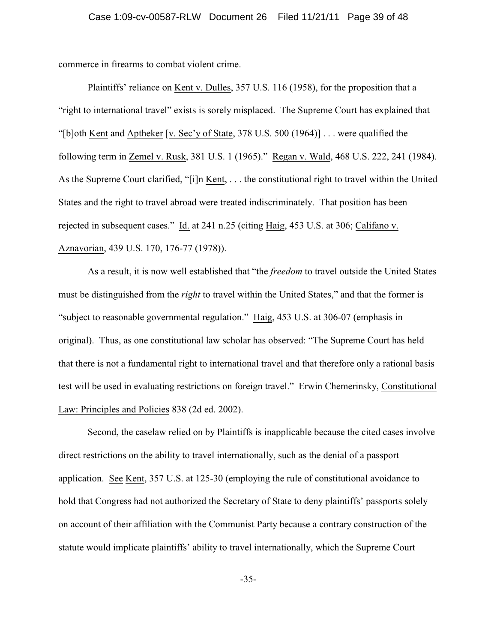commerce in firearms to combat violent crime.

Plaintiffs' reliance on Kent v. Dulles, 357 U.S. 116 (1958), for the proposition that a "right to international travel" exists is sorely misplaced. The Supreme Court has explained that "[b]oth <u>Kent</u> and Aptheker [v. Sec'y of State, 378 U.S. 500 (1964)] . . . were qualified the following term in Zemel v. Rusk, 381 U.S. 1 (1965)." Regan v. Wald, 468 U.S. 222, 241 (1984). As the Supreme Court clarified, "[i]n Kent, . . . the constitutional right to travel within the United States and the right to travel abroad were treated indiscriminately. That position has been rejected in subsequent cases." Id. at 241 n.25 (citing Haig, 453 U.S. at 306; Califano v. Aznavorian, 439 U.S. 170, 176-77 (1978)).

As a result, it is now well established that "the *freedom* to travel outside the United States must be distinguished from the *right* to travel within the United States," and that the former is "subject to reasonable governmental regulation." Haig, 453 U.S. at 306-07 (emphasis in original). Thus, as one constitutional law scholar has observed: "The Supreme Court has held that there is not a fundamental right to international travel and that therefore only a rational basis test will be used in evaluating restrictions on foreign travel." Erwin Chemerinsky, Constitutional Law: Principles and Policies 838 (2d ed. 2002).

Second, the caselaw relied on by Plaintiffs is inapplicable because the cited cases involve direct restrictions on the ability to travel internationally, such as the denial of a passport application. See Kent, 357 U.S. at 125-30 (employing the rule of constitutional avoidance to hold that Congress had not authorized the Secretary of State to deny plaintiffs' passports solely on account of their affiliation with the Communist Party because a contrary construction of the statute would implicate plaintiffs' ability to travel internationally, which the Supreme Court

-35-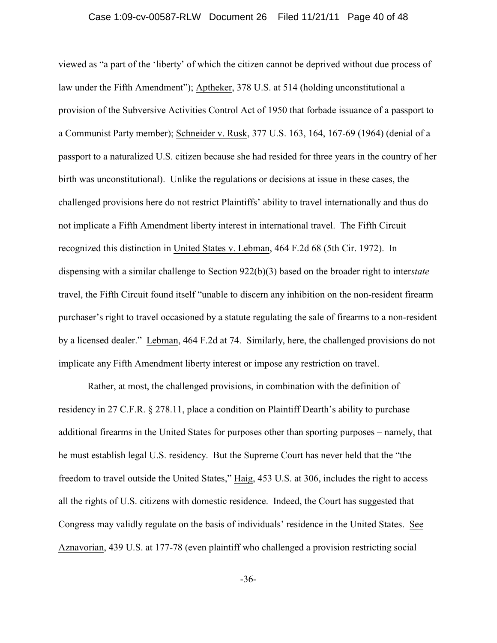#### Case 1:09-cv-00587-RLW Document 26 Filed 11/21/11 Page 40 of 48

viewed as "a part of the 'liberty' of which the citizen cannot be deprived without due process of law under the Fifth Amendment"); Aptheker, 378 U.S. at 514 (holding unconstitutional a provision of the Subversive Activities Control Act of 1950 that forbade issuance of a passport to a Communist Party member); Schneider v. Rusk, 377 U.S. 163, 164, 167-69 (1964) (denial of a passport to a naturalized U.S. citizen because she had resided for three years in the country of her birth was unconstitutional). Unlike the regulations or decisions at issue in these cases, the challenged provisions here do not restrict Plaintiffs' ability to travel internationally and thus do not implicate a Fifth Amendment liberty interest in international travel. The Fifth Circuit recognized this distinction in United States v. Lebman, 464 F.2d 68 (5th Cir. 1972). In dispensing with a similar challenge to Section 922(b)(3) based on the broader right to inter*state* travel, the Fifth Circuit found itself "unable to discern any inhibition on the non-resident firearm purchaser's right to travel occasioned by a statute regulating the sale of firearms to a non-resident by a licensed dealer." Lebman, 464 F.2d at 74. Similarly, here, the challenged provisions do not implicate any Fifth Amendment liberty interest or impose any restriction on travel.

Rather, at most, the challenged provisions, in combination with the definition of residency in 27 C.F.R. § 278.11, place a condition on Plaintiff Dearth's ability to purchase additional firearms in the United States for purposes other than sporting purposes – namely, that he must establish legal U.S. residency. But the Supreme Court has never held that the "the freedom to travel outside the United States," Haig, 453 U.S. at 306, includes the right to access all the rights of U.S. citizens with domestic residence. Indeed, the Court has suggested that Congress may validly regulate on the basis of individuals' residence in the United States. See Aznavorian, 439 U.S. at 177-78 (even plaintiff who challenged a provision restricting social

-36-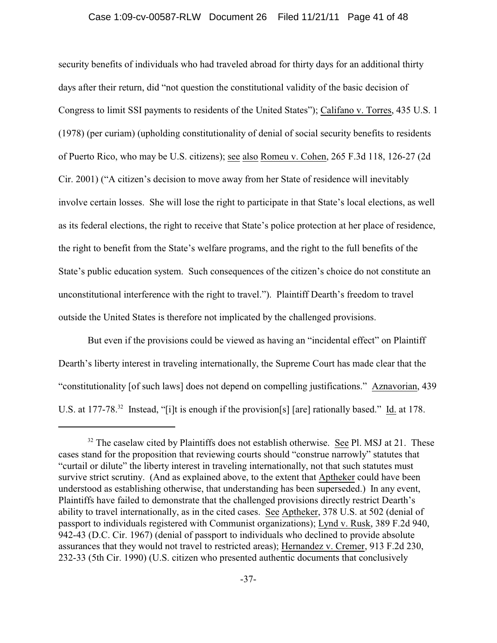security benefits of individuals who had traveled abroad for thirty days for an additional thirty days after their return, did "not question the constitutional validity of the basic decision of Congress to limit SSI payments to residents of the United States"); Califano v. Torres, 435 U.S. 1 (1978) (per curiam) (upholding constitutionality of denial of social security benefits to residents of Puerto Rico, who may be U.S. citizens); see also Romeu v. Cohen, 265 F.3d 118, 126-27 (2d Cir. 2001) ("A citizen's decision to move away from her State of residence will inevitably involve certain losses. She will lose the right to participate in that State's local elections, as well as its federal elections, the right to receive that State's police protection at her place of residence, the right to benefit from the State's welfare programs, and the right to the full benefits of the State's public education system. Such consequences of the citizen's choice do not constitute an unconstitutional interference with the right to travel."). Plaintiff Dearth's freedom to travel outside the United States is therefore not implicated by the challenged provisions.

But even if the provisions could be viewed as having an "incidental effect" on Plaintiff Dearth's liberty interest in traveling internationally, the Supreme Court has made clear that the "constitutionality [of such laws] does not depend on compelling justifications." Aznavorian, 439 U.S. at 177-78.<sup>32</sup> Instead, "[i]t is enough if the provision[s] [are] rationally based." Id. at 178.

 $32$  The caselaw cited by Plaintiffs does not establish otherwise. See Pl. MSJ at 21. These cases stand for the proposition that reviewing courts should "construe narrowly" statutes that "curtail or dilute" the liberty interest in traveling internationally, not that such statutes must survive strict scrutiny. (And as explained above, to the extent that Aptheker could have been understood as establishing otherwise, that understanding has been superseded.) In any event, Plaintiffs have failed to demonstrate that the challenged provisions directly restrict Dearth's ability to travel internationally, as in the cited cases. See Aptheker, 378 U.S. at 502 (denial of passport to individuals registered with Communist organizations); Lynd v. Rusk, 389 F.2d 940, 942-43 (D.C. Cir. 1967) (denial of passport to individuals who declined to provide absolute assurances that they would not travel to restricted areas); Hernandez v. Cremer, 913 F.2d 230, 232-33 (5th Cir. 1990) (U.S. citizen who presented authentic documents that conclusively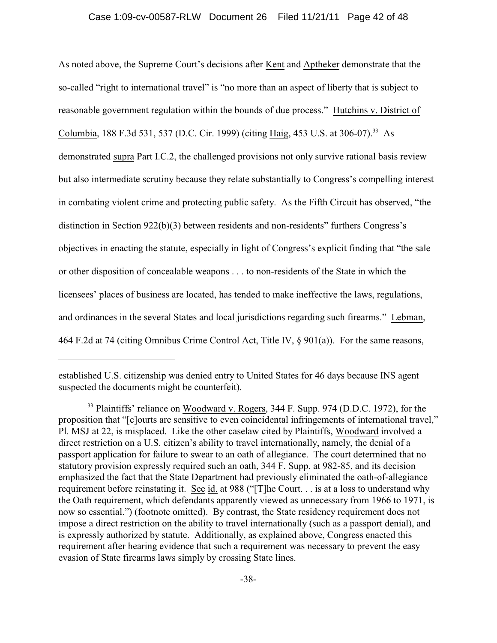As noted above, the Supreme Court's decisions after Kent and Aptheker demonstrate that the so-called "right to international travel" is "no more than an aspect of liberty that is subject to reasonable government regulation within the bounds of due process." Hutchins v. District of Columbia, 188 F.3d 531, 537 (D.C. Cir. 1999) (citing Haig, 453 U.S. at 306-07).<sup>33</sup> As demonstrated supra Part I.C.2, the challenged provisions not only survive rational basis review but also intermediate scrutiny because they relate substantially to Congress's compelling interest in combating violent crime and protecting public safety. As the Fifth Circuit has observed, "the distinction in Section 922(b)(3) between residents and non-residents" furthers Congress's objectives in enacting the statute, especially in light of Congress's explicit finding that "the sale or other disposition of concealable weapons . . . to non-residents of the State in which the licensees' places of business are located, has tended to make ineffective the laws, regulations, and ordinances in the several States and local jurisdictions regarding such firearms." Lebman, 464 F.2d at 74 (citing Omnibus Crime Control Act, Title IV, § 901(a)). For the same reasons,

established U.S. citizenship was denied entry to United States for 46 days because INS agent suspected the documents might be counterfeit).

<sup>&</sup>lt;sup>33</sup> Plaintiffs' reliance on Woodward v. Rogers, 344 F. Supp. 974 (D.D.C. 1972), for the proposition that "[c]ourts are sensitive to even coincidental infringements of international travel," Pl. MSJ at 22, is misplaced. Like the other caselaw cited by Plaintiffs, Woodward involved a direct restriction on a U.S. citizen's ability to travel internationally, namely, the denial of a passport application for failure to swear to an oath of allegiance. The court determined that no statutory provision expressly required such an oath, 344 F. Supp. at 982-85, and its decision emphasized the fact that the State Department had previously eliminated the oath-of-allegiance requirement before reinstating it. See id. at 988 ("[T]he Court. . . is at a loss to understand why the Oath requirement, which defendants apparently viewed as unnecessary from 1966 to 1971, is now so essential.") (footnote omitted). By contrast, the State residency requirement does not impose a direct restriction on the ability to travel internationally (such as a passport denial), and is expressly authorized by statute. Additionally, as explained above, Congress enacted this requirement after hearing evidence that such a requirement was necessary to prevent the easy evasion of State firearms laws simply by crossing State lines.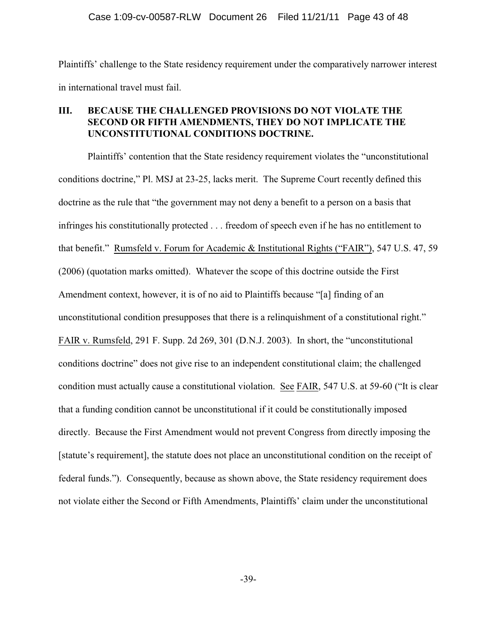Plaintiffs' challenge to the State residency requirement under the comparatively narrower interest in international travel must fail.

# **III. BECAUSE THE CHALLENGED PROVISIONS DO NOT VIOLATE THE SECOND OR FIFTH AMENDMENTS, THEY DO NOT IMPLICATE THE UNCONSTITUTIONAL CONDITIONS DOCTRINE.**

Plaintiffs' contention that the State residency requirement violates the "unconstitutional conditions doctrine," Pl. MSJ at 23-25, lacks merit. The Supreme Court recently defined this doctrine as the rule that "the government may not deny a benefit to a person on a basis that infringes his constitutionally protected . . . freedom of speech even if he has no entitlement to that benefit." Rumsfeld v. Forum for Academic & Institutional Rights ("FAIR"), 547 U.S. 47, 59 (2006) (quotation marks omitted). Whatever the scope of this doctrine outside the First Amendment context, however, it is of no aid to Plaintiffs because "[a] finding of an unconstitutional condition presupposes that there is a relinquishment of a constitutional right." FAIR v. Rumsfeld, 291 F. Supp. 2d 269, 301 (D.N.J. 2003). In short, the "unconstitutional conditions doctrine" does not give rise to an independent constitutional claim; the challenged condition must actually cause a constitutional violation. See FAIR, 547 U.S. at 59-60 ("It is clear that a funding condition cannot be unconstitutional if it could be constitutionally imposed directly. Because the First Amendment would not prevent Congress from directly imposing the [statute's requirement], the statute does not place an unconstitutional condition on the receipt of federal funds."). Consequently, because as shown above, the State residency requirement does not violate either the Second or Fifth Amendments, Plaintiffs' claim under the unconstitutional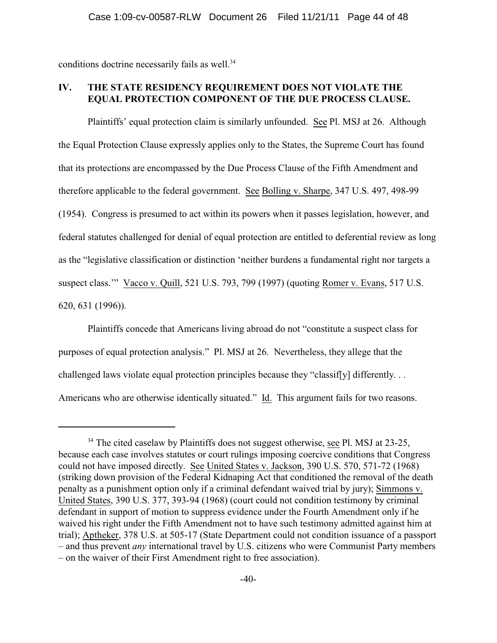conditions doctrine necessarily fails as well.<sup>34</sup>

# **IV. THE STATE RESIDENCY REQUIREMENT DOES NOT VIOLATE THE EQUAL PROTECTION COMPONENT OF THE DUE PROCESS CLAUSE.**

Plaintiffs' equal protection claim is similarly unfounded. See Pl. MSJ at 26. Although the Equal Protection Clause expressly applies only to the States, the Supreme Court has found that its protections are encompassed by the Due Process Clause of the Fifth Amendment and therefore applicable to the federal government. See Bolling v. Sharpe, 347 U.S. 497, 498-99 (1954). Congress is presumed to act within its powers when it passes legislation, however, and federal statutes challenged for denial of equal protection are entitled to deferential review as long as the "legislative classification or distinction 'neither burdens a fundamental right nor targets a suspect class.'" Vacco v. Quill, 521 U.S. 793, 799 (1997) (quoting Romer v. Evans, 517 U.S. 620, 631 (1996)).

Plaintiffs concede that Americans living abroad do not "constitute a suspect class for purposes of equal protection analysis." Pl. MSJ at 26. Nevertheless, they allege that the challenged laws violate equal protection principles because they "classif[y] differently. . . Americans who are otherwise identically situated." Id. This argument fails for two reasons.

 $34$  The cited caselaw by Plaintiffs does not suggest otherwise, see Pl. MSJ at 23-25, because each case involves statutes or court rulings imposing coercive conditions that Congress could not have imposed directly. See United States v. Jackson, 390 U.S. 570, 571-72 (1968) (striking down provision of the Federal Kidnaping Act that conditioned the removal of the death penalty as a punishment option only if a criminal defendant waived trial by jury); Simmons v. United States, 390 U.S. 377, 393-94 (1968) (court could not condition testimony by criminal defendant in support of motion to suppress evidence under the Fourth Amendment only if he waived his right under the Fifth Amendment not to have such testimony admitted against him at trial); Aptheker, 378 U.S. at 505-17 (State Department could not condition issuance of a passport – and thus prevent *any* international travel by U.S. citizens who were Communist Party members – on the waiver of their First Amendment right to free association).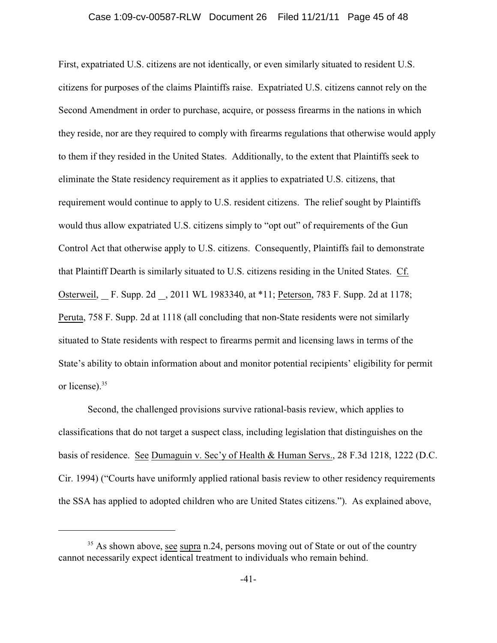#### Case 1:09-cv-00587-RLW Document 26 Filed 11/21/11 Page 45 of 48

First, expatriated U.S. citizens are not identically, or even similarly situated to resident U.S. citizens for purposes of the claims Plaintiffs raise. Expatriated U.S. citizens cannot rely on the Second Amendment in order to purchase, acquire, or possess firearms in the nations in which they reside, nor are they required to comply with firearms regulations that otherwise would apply to them if they resided in the United States. Additionally, to the extent that Plaintiffs seek to eliminate the State residency requirement as it applies to expatriated U.S. citizens, that requirement would continue to apply to U.S. resident citizens. The relief sought by Plaintiffs would thus allow expatriated U.S. citizens simply to "opt out" of requirements of the Gun Control Act that otherwise apply to U.S. citizens. Consequently, Plaintiffs fail to demonstrate that Plaintiff Dearth is similarly situated to U.S. citizens residing in the United States. Cf. Osterweil, F. Supp. 2d , 2011 WL 1983340, at \*11; Peterson, 783 F. Supp. 2d at 1178; Peruta, 758 F. Supp. 2d at 1118 (all concluding that non-State residents were not similarly situated to State residents with respect to firearms permit and licensing laws in terms of the State's ability to obtain information about and monitor potential recipients' eligibility for permit or license).<sup>35</sup>

Second, the challenged provisions survive rational-basis review, which applies to classifications that do not target a suspect class, including legislation that distinguishes on the basis of residence. See Dumaguin v. Sec'y of Health & Human Servs., 28 F.3d 1218, 1222 (D.C. Cir. 1994) ("Courts have uniformly applied rational basis review to other residency requirements the SSA has applied to adopted children who are United States citizens."). As explained above,

 $35$  As shown above, see supra n.24, persons moving out of State or out of the country cannot necessarily expect identical treatment to individuals who remain behind.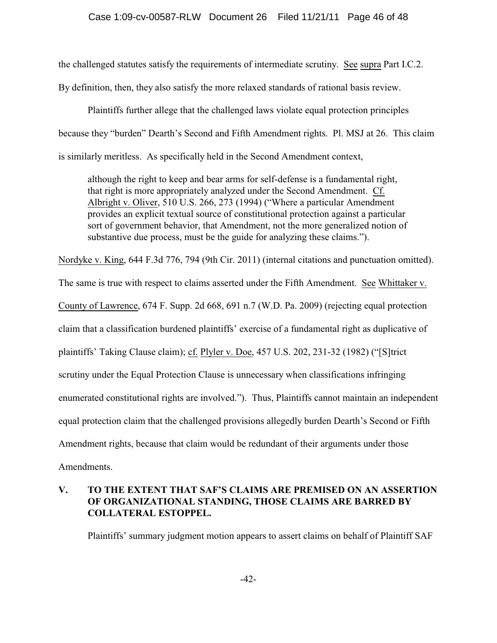the challenged statutes satisfy the requirements of intermediate scrutiny. See supra Part I.C.2. By definition, then, they also satisfy the more relaxed standards of rational basis review.

Plaintiffs further allege that the challenged laws violate equal protection principles because they "burden" Dearth's Second and Fifth Amendment rights. Pl. MSJ at 26. This claim is similarly meritless. As specifically held in the Second Amendment context,

although the right to keep and bear arms for self-defense is a fundamental right, that right is more appropriately analyzed under the Second Amendment. Cf. Albright v. Oliver, 510 U.S. 266, 273 (1994) ("Where a particular Amendment provides an explicit textual source of constitutional protection against a particular sort of government behavior, that Amendment, not the more generalized notion of substantive due process, must be the guide for analyzing these claims.").

Nordyke v. King, 644 F.3d 776, 794 (9th Cir. 2011) (internal citations and punctuation omitted).

The same is true with respect to claims asserted under the Fifth Amendment. See Whittaker v. County of Lawrence, 674 F. Supp. 2d 668, 691 n.7 (W.D. Pa. 2009) (rejecting equal protection claim that a classification burdened plaintiffs' exercise of a fundamental right as duplicative of plaintiffs' Taking Clause claim); cf. Plyler v. Doe, 457 U.S. 202, 231-32 (1982) ("[S]trict scrutiny under the Equal Protection Clause is unnecessary when classifications infringing enumerated constitutional rights are involved."). Thus, Plaintiffs cannot maintain an independent equal protection claim that the challenged provisions allegedly burden Dearth's Second or Fifth Amendment rights, because that claim would be redundant of their arguments under those Amendments.

# **V. TO THE EXTENT THAT SAF'S CLAIMS ARE PREMISED ON AN ASSERTION OF ORGANIZATIONAL STANDING, THOSE CLAIMS ARE BARRED BY COLLATERAL ESTOPPEL.**

Plaintiffs' summary judgment motion appears to assert claims on behalf of Plaintiff SAF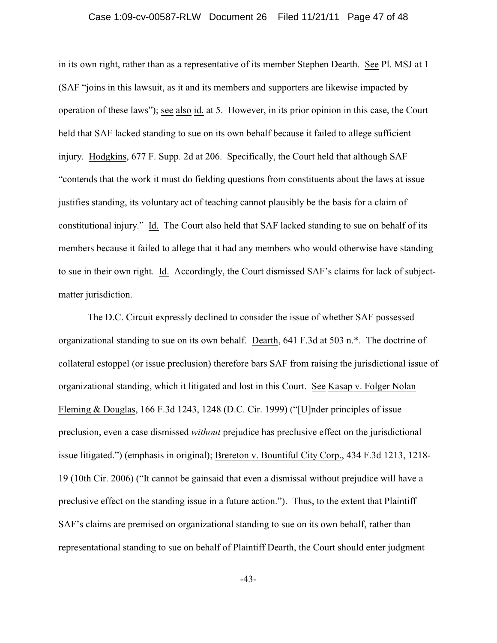#### Case 1:09-cv-00587-RLW Document 26 Filed 11/21/11 Page 47 of 48

in its own right, rather than as a representative of its member Stephen Dearth. See Pl. MSJ at 1 (SAF "joins in this lawsuit, as it and its members and supporters are likewise impacted by operation of these laws"); see also id. at 5. However, in its prior opinion in this case, the Court held that SAF lacked standing to sue on its own behalf because it failed to allege sufficient injury. Hodgkins, 677 F. Supp. 2d at 206. Specifically, the Court held that although SAF "contends that the work it must do fielding questions from constituents about the laws at issue justifies standing, its voluntary act of teaching cannot plausibly be the basis for a claim of constitutional injury." Id. The Court also held that SAF lacked standing to sue on behalf of its members because it failed to allege that it had any members who would otherwise have standing to sue in their own right. Id. Accordingly, the Court dismissed SAF's claims for lack of subjectmatter jurisdiction.

The D.C. Circuit expressly declined to consider the issue of whether SAF possessed organizational standing to sue on its own behalf. Dearth, 641 F.3d at 503 n.\*. The doctrine of collateral estoppel (or issue preclusion) therefore bars SAF from raising the jurisdictional issue of organizational standing, which it litigated and lost in this Court. See Kasap v. Folger Nolan Fleming & Douglas, 166 F.3d 1243, 1248 (D.C. Cir. 1999) ("[U]nder principles of issue preclusion, even a case dismissed *without* prejudice has preclusive effect on the jurisdictional issue litigated.") (emphasis in original); Brereton v. Bountiful City Corp., 434 F.3d 1213, 1218- 19 (10th Cir. 2006) ("It cannot be gainsaid that even a dismissal without prejudice will have a preclusive effect on the standing issue in a future action."). Thus, to the extent that Plaintiff SAF's claims are premised on organizational standing to sue on its own behalf, rather than representational standing to sue on behalf of Plaintiff Dearth, the Court should enter judgment

-43-